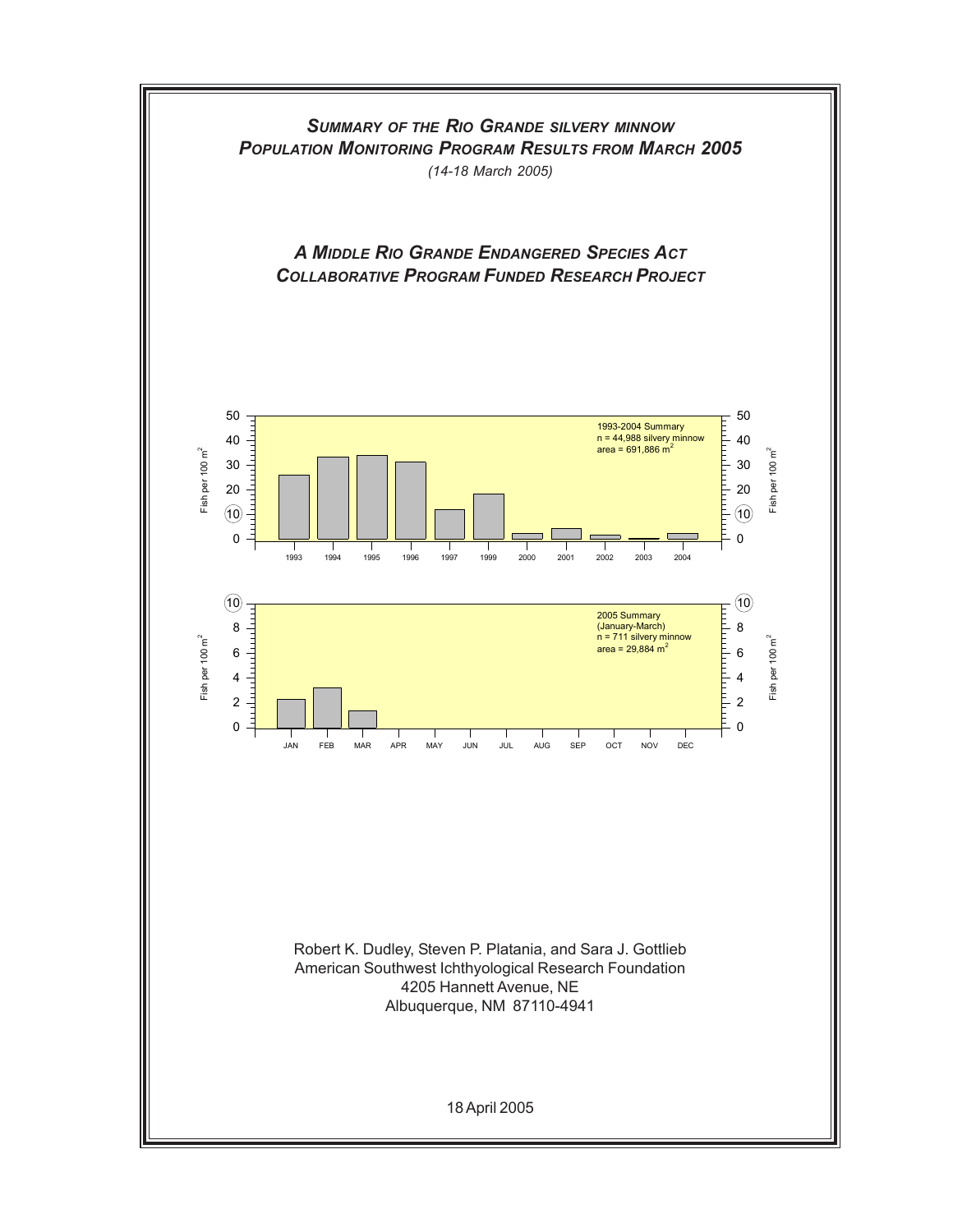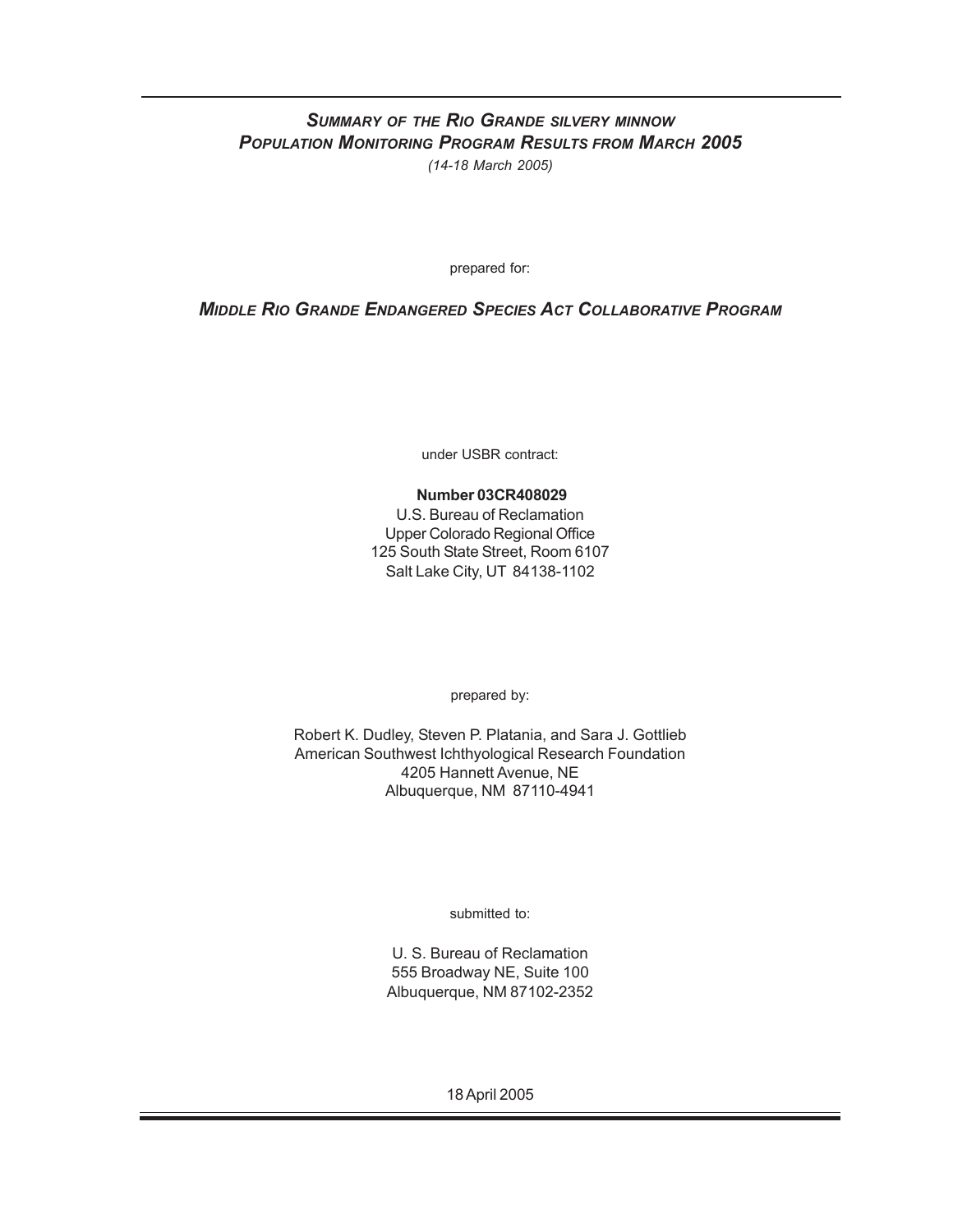## *SUMMARY OF THE RIO GRANDE SILVERY MINNOW POPULATION MONITORING PROGRAM RESULTS FROM MARCH 2005*

*(14-18 March 2005)*

prepared for:

## *MIDDLE RIO GRANDE ENDANGERED SPECIES ACT COLLABORATIVE PROGRAM*

under USBR contract:

#### **Number 03CR408029**

U.S. Bureau of Reclamation Upper Colorado Regional Office 125 South State Street, Room 6107 Salt Lake City, UT 84138-1102

prepared by:

Robert K. Dudley, Steven P. Platania, and Sara J. Gottlieb American Southwest Ichthyological Research Foundation 4205 Hannett Avenue, NE Albuquerque, NM 87110-4941

submitted to:

U. S. Bureau of Reclamation 555 Broadway NE, Suite 100 Albuquerque, NM 87102-2352

18 April 2005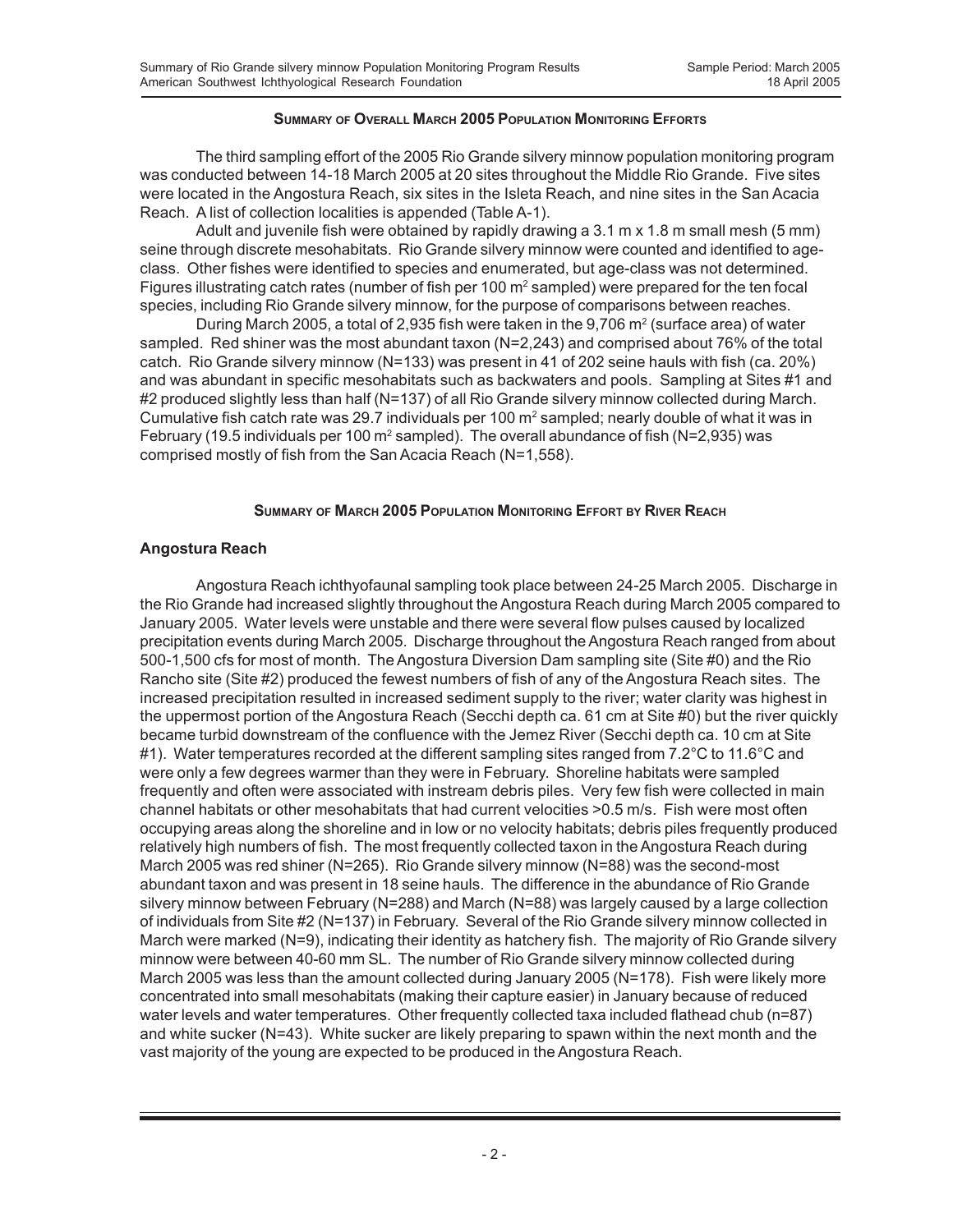#### **SUMMARY OF OVERALL MARCH 2005 POPULATION MONITORING EFFORTS**

The third sampling effort of the 2005 Rio Grande silvery minnow population monitoring program was conducted between 14-18 March 2005 at 20 sites throughout the Middle Rio Grande. Five sites were located in the Angostura Reach, six sites in the Isleta Reach, and nine sites in the San Acacia Reach. A list of collection localities is appended (Table A-1).

Adult and juvenile fish were obtained by rapidly drawing a 3.1 m x 1.8 m small mesh (5 mm) seine through discrete mesohabitats. Rio Grande silvery minnow were counted and identified to ageclass. Other fishes were identified to species and enumerated, but age-class was not determined. Figures illustrating catch rates (number of fish per 100 m<sup>2</sup> sampled) were prepared for the ten focal species, including Rio Grande silvery minnow, for the purpose of comparisons between reaches.

During March 2005, a total of 2,935 fish were taken in the  $9,706$  m<sup>2</sup> (surface area) of water sampled. Red shiner was the most abundant taxon (N=2,243) and comprised about 76% of the total catch. Rio Grande silvery minnow (N=133) was present in 41 of 202 seine hauls with fish (ca. 20%) and was abundant in specific mesohabitats such as backwaters and pools. Sampling at Sites #1 and #2 produced slightly less than half (N=137) of all Rio Grande silvery minnow collected during March. Cumulative fish catch rate was 29.7 individuals per 100 m<sup>2</sup> sampled; nearly double of what it was in February (19.5 individuals per 100 m<sup>2</sup> sampled). The overall abundance of fish (N=2,935) was comprised mostly of fish from the San Acacia Reach (N=1,558).

#### **SUMMARY OF MARCH 2005 POPULATION MONITORING EFFORT BY RIVER REACH**

#### **Angostura Reach**

Angostura Reach ichthyofaunal sampling took place between 24-25 March 2005. Discharge in the Rio Grande had increased slightly throughout the Angostura Reach during March 2005 compared to January 2005. Water levels were unstable and there were several flow pulses caused by localized precipitation events during March 2005. Discharge throughout the Angostura Reach ranged from about 500-1,500 cfs for most of month. The Angostura Diversion Dam sampling site (Site #0) and the Rio Rancho site (Site #2) produced the fewest numbers of fish of any of the Angostura Reach sites. The increased precipitation resulted in increased sediment supply to the river; water clarity was highest in the uppermost portion of the Angostura Reach (Secchi depth ca. 61 cm at Site #0) but the river quickly became turbid downstream of the confluence with the Jemez River (Secchi depth ca. 10 cm at Site #1). Water temperatures recorded at the different sampling sites ranged from 7.2°C to 11.6°C and were only a few degrees warmer than they were in February. Shoreline habitats were sampled frequently and often were associated with instream debris piles. Very few fish were collected in main channel habitats or other mesohabitats that had current velocities >0.5 m/s. Fish were most often occupying areas along the shoreline and in low or no velocity habitats; debris piles frequently produced relatively high numbers of fish. The most frequently collected taxon in the Angostura Reach during March 2005 was red shiner (N=265). Rio Grande silvery minnow (N=88) was the second-most abundant taxon and was present in 18 seine hauls. The difference in the abundance of Rio Grande silvery minnow between February (N=288) and March (N=88) was largely caused by a large collection of individuals from Site #2 (N=137) in February. Several of the Rio Grande silvery minnow collected in March were marked (N=9), indicating their identity as hatchery fish. The majority of Rio Grande silvery minnow were between 40-60 mm SL. The number of Rio Grande silvery minnow collected during March 2005 was less than the amount collected during January 2005 (N=178). Fish were likely more concentrated into small mesohabitats (making their capture easier) in January because of reduced water levels and water temperatures. Other frequently collected taxa included flathead chub (n=87) and white sucker (N=43). White sucker are likely preparing to spawn within the next month and the vast majority of the young are expected to be produced in the Angostura Reach.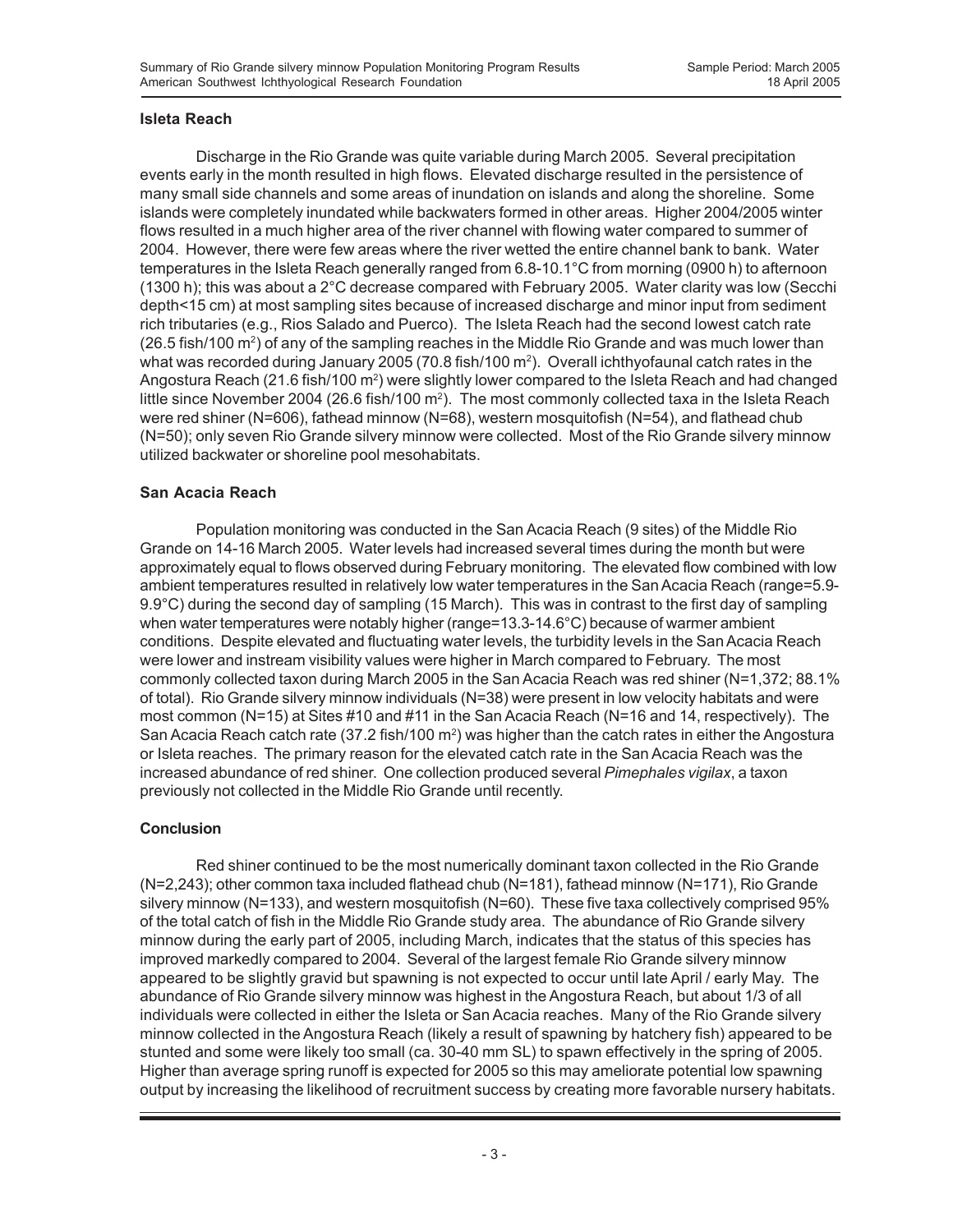#### **Isleta Reach**

Discharge in the Rio Grande was quite variable during March 2005. Several precipitation events early in the month resulted in high flows. Elevated discharge resulted in the persistence of many small side channels and some areas of inundation on islands and along the shoreline. Some islands were completely inundated while backwaters formed in other areas. Higher 2004/2005 winter flows resulted in a much higher area of the river channel with flowing water compared to summer of 2004. However, there were few areas where the river wetted the entire channel bank to bank. Water temperatures in the Isleta Reach generally ranged from 6.8-10.1°C from morning (0900 h) to afternoon (1300 h); this was about a 2°C decrease compared with February 2005. Water clarity was low (Secchi depth<15 cm) at most sampling sites because of increased discharge and minor input from sediment rich tributaries (e.g., Rios Salado and Puerco). The Isleta Reach had the second lowest catch rate (26.5 fish/100 m<sup>2</sup>) of any of the sampling reaches in the Middle Rio Grande and was much lower than what was recorded during January 2005 (70.8 fish/100 m²). Overall ichthyofaunal catch rates in the Angostura Reach (21.6 fish/100 m<sup>2</sup>) were slightly lower compared to the Isleta Reach and had changed little since November 2004 (26.6 fish/100 m<sup>2</sup>). The most commonly collected taxa in the Isleta Reach were red shiner (N=606), fathead minnow (N=68), western mosquitofish (N=54), and flathead chub (N=50); only seven Rio Grande silvery minnow were collected. Most of the Rio Grande silvery minnow utilized backwater or shoreline pool mesohabitats.

#### **San Acacia Reach**

Population monitoring was conducted in the San Acacia Reach (9 sites) of the Middle Rio Grande on 14-16 March 2005. Water levels had increased several times during the month but were approximately equal to flows observed during February monitoring. The elevated flow combined with low ambient temperatures resulted in relatively low water temperatures in the San Acacia Reach (range=5.9- 9.9°C) during the second day of sampling (15 March). This was in contrast to the first day of sampling when water temperatures were notably higher (range=13.3-14.6°C) because of warmer ambient conditions. Despite elevated and fluctuating water levels, the turbidity levels in the San Acacia Reach were lower and instream visibility values were higher in March compared to February. The most commonly collected taxon during March 2005 in the San Acacia Reach was red shiner (N=1,372; 88.1% of total). Rio Grande silvery minnow individuals (N=38) were present in low velocity habitats and were most common (N=15) at Sites #10 and #11 in the San Acacia Reach (N=16 and 14, respectively). The San Acacia Reach catch rate (37.2 fish/100 m<sup>2</sup>) was higher than the catch rates in either the Angostura or Isleta reaches. The primary reason for the elevated catch rate in the San Acacia Reach was the increased abundance of red shiner. One collection produced several *Pimephales vigilax*, a taxon previously not collected in the Middle Rio Grande until recently.

#### **Conclusion**

Red shiner continued to be the most numerically dominant taxon collected in the Rio Grande (N=2,243); other common taxa included flathead chub (N=181), fathead minnow (N=171), Rio Grande silvery minnow (N=133), and western mosquitofish (N=60). These five taxa collectively comprised 95% of the total catch of fish in the Middle Rio Grande study area. The abundance of Rio Grande silvery minnow during the early part of 2005, including March, indicates that the status of this species has improved markedly compared to 2004. Several of the largest female Rio Grande silvery minnow appeared to be slightly gravid but spawning is not expected to occur until late April / early May. The abundance of Rio Grande silvery minnow was highest in the Angostura Reach, but about 1/3 of all individuals were collected in either the Isleta or San Acacia reaches. Many of the Rio Grande silvery minnow collected in the Angostura Reach (likely a result of spawning by hatchery fish) appeared to be stunted and some were likely too small (ca. 30-40 mm SL) to spawn effectively in the spring of 2005. Higher than average spring runoff is expected for 2005 so this may ameliorate potential low spawning output by increasing the likelihood of recruitment success by creating more favorable nursery habitats.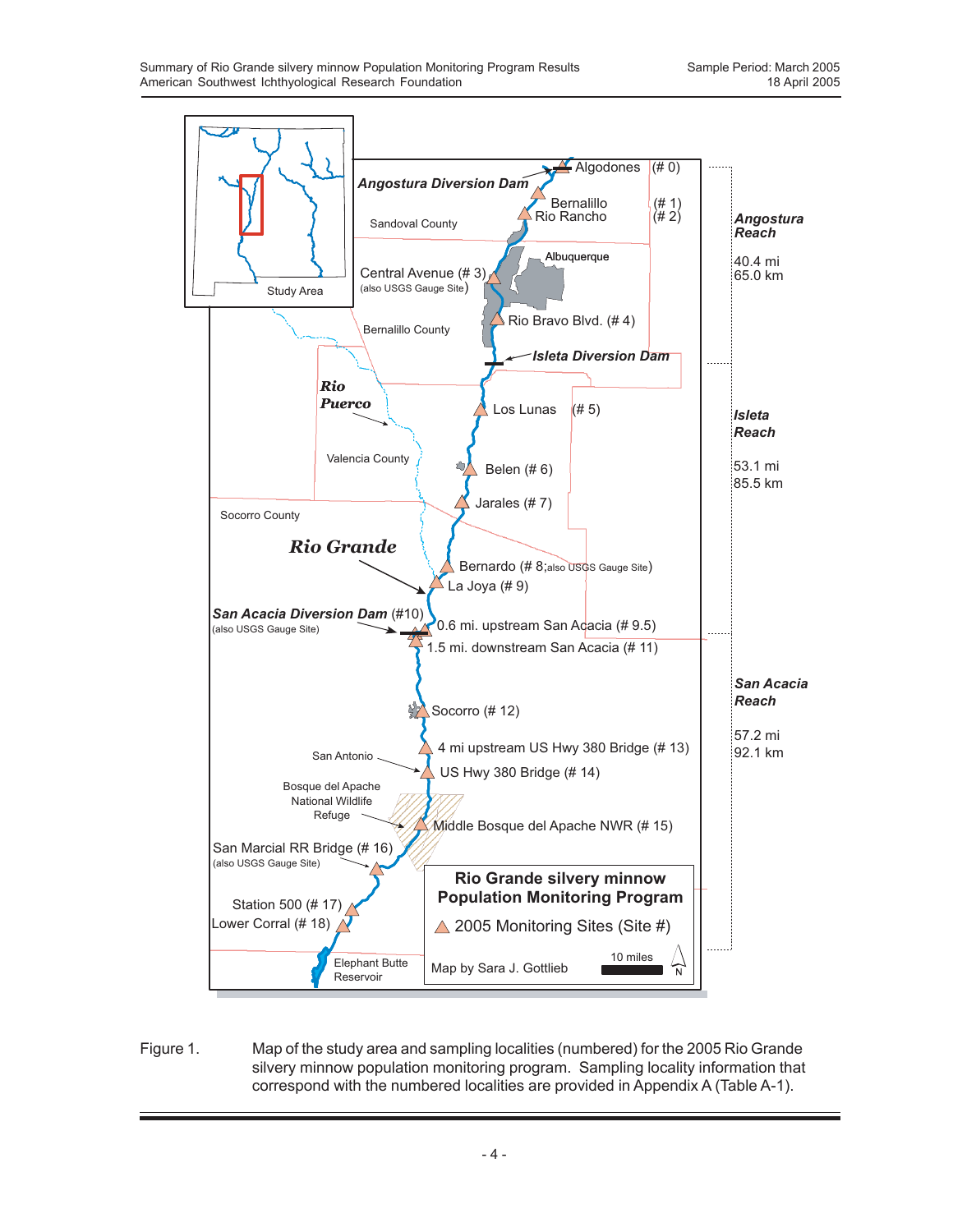

Figure 1. Map of the study area and sampling localities (numbered) for the 2005 Rio Grande silvery minnow population monitoring program. Sampling locality information that correspond with the numbered localities are provided in Appendix A (Table A-1).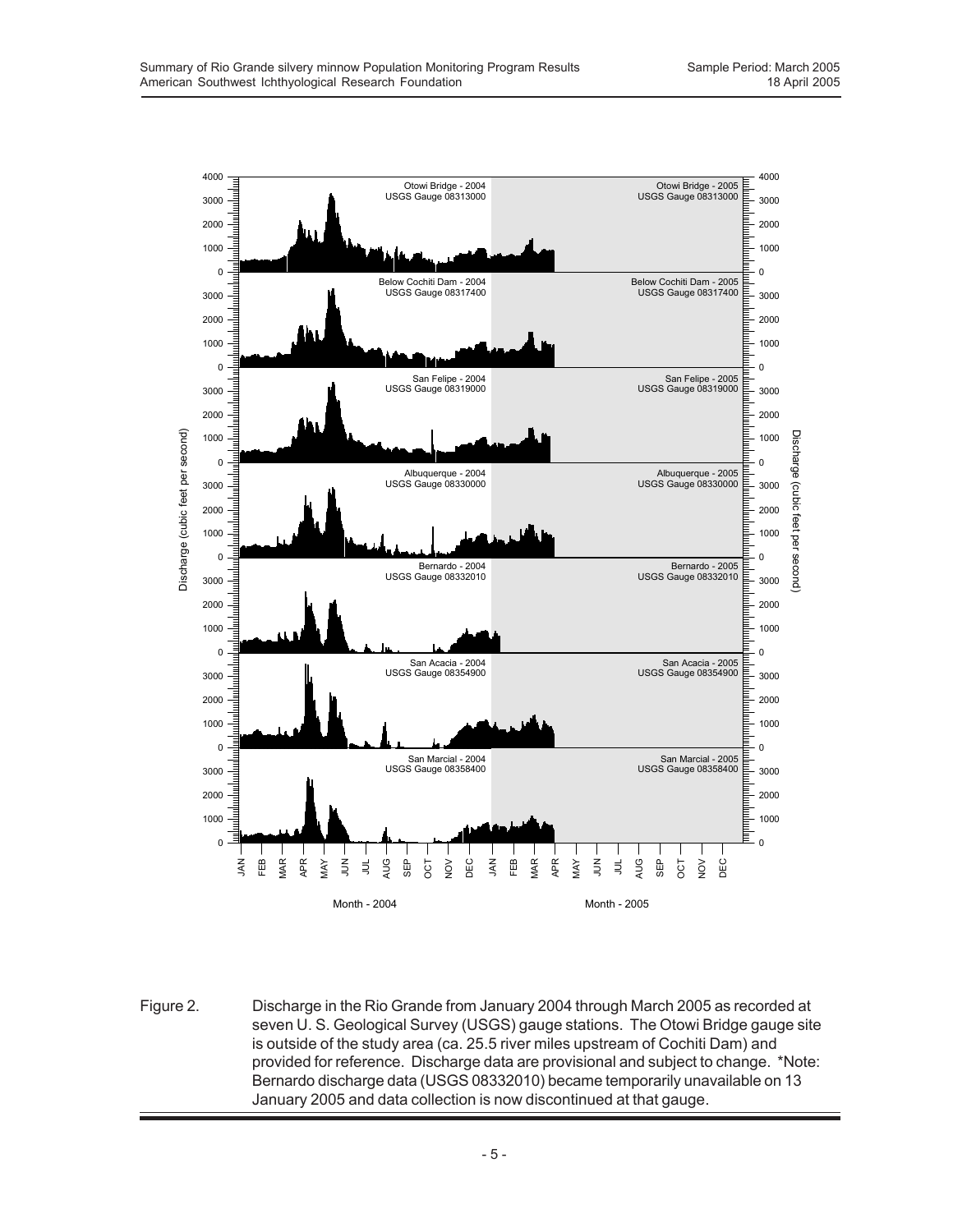

Figure 2. Discharge in the Rio Grande from January 2004 through March 2005 as recorded at seven U. S. Geological Survey (USGS) gauge stations. The Otowi Bridge gauge site is outside of the study area (ca. 25.5 river miles upstream of Cochiti Dam) and provided for reference. Discharge data are provisional and subject to change. \*Note: Bernardo discharge data (USGS 08332010) became temporarily unavailable on 13 January 2005 and data collection is now discontinued at that gauge.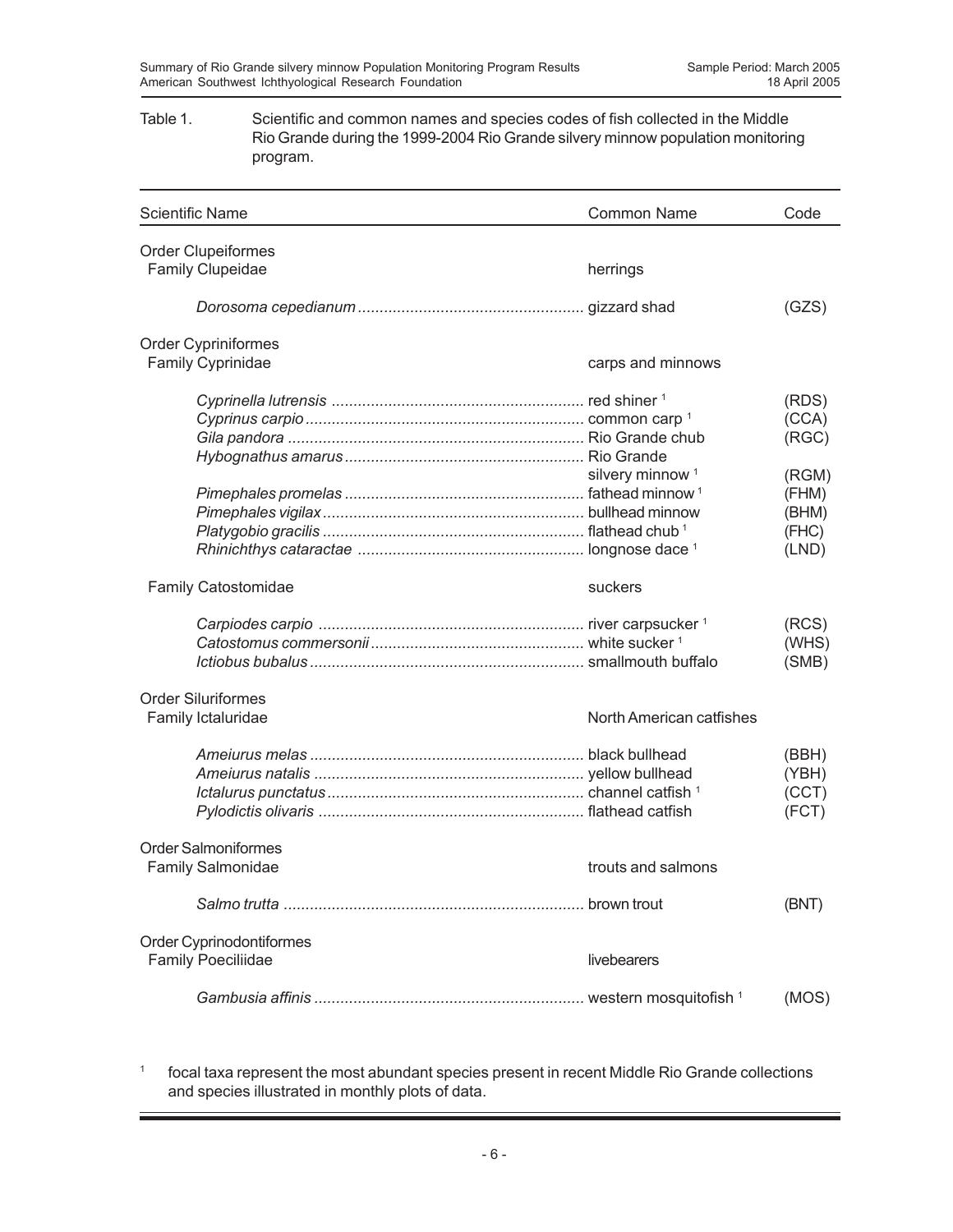#### Table 1. Scientific and common names and species codes of fish collected in the Middle Rio Grande during the 1999-2004 Rio Grande silvery minnow population monitoring program.

| <b>Scientific Name</b>                                 | <b>Common Name</b>          | Code                                      |
|--------------------------------------------------------|-----------------------------|-------------------------------------------|
| <b>Order Clupeiformes</b>                              |                             |                                           |
| Family Clupeidae                                       | herrings                    |                                           |
|                                                        |                             | (GZS)                                     |
| Order Cypriniformes                                    |                             |                                           |
| <b>Family Cyprinidae</b>                               | carps and minnows           |                                           |
|                                                        |                             | (RDS)<br>(CCA)                            |
|                                                        |                             | (RGC)                                     |
|                                                        | silvery minnow <sup>1</sup> | (RGM)<br>(FHM)<br>(BHM)<br>(FHC)<br>(LND) |
| <b>Family Catostomidae</b>                             | suckers                     |                                           |
|                                                        |                             | (RCS)<br>(WHS)<br>(SMB)                   |
| <b>Order Siluriformes</b><br>Family Ictaluridae        | North American catfishes    |                                           |
|                                                        |                             | (BBH)<br>(YBH)<br>(CCT)<br>(FCT)          |
| <b>Order Salmoniformes</b><br><b>Family Salmonidae</b> | trouts and salmons          |                                           |
|                                                        |                             | (BNT)                                     |
| Order Cyprinodontiformes<br><b>Family Poeciliidae</b>  | livebearers                 |                                           |
|                                                        |                             | (MOS)                                     |

<sup>1</sup> focal taxa represent the most abundant species present in recent Middle Rio Grande collections and species illustrated in monthly plots of data.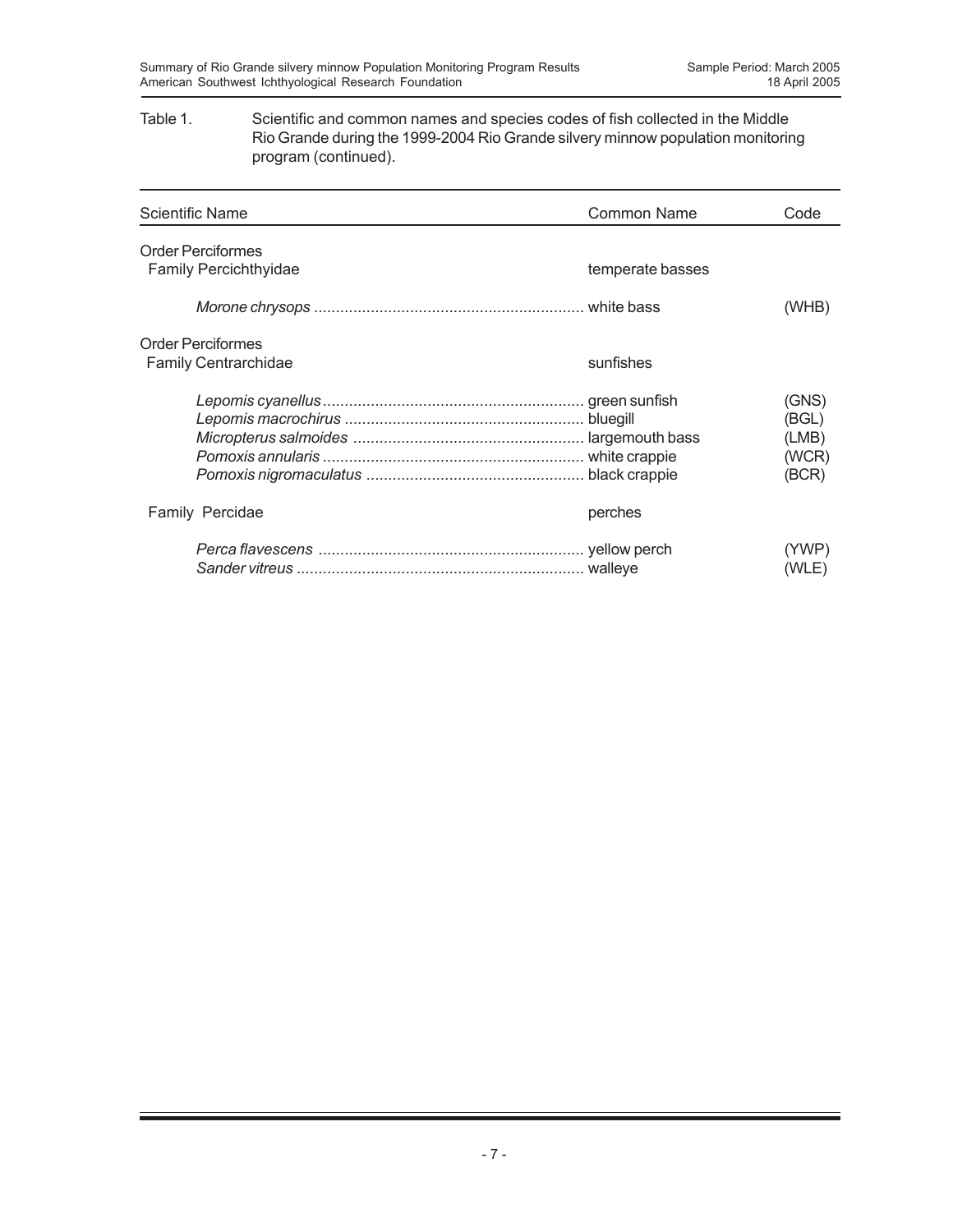#### Table 1. Scientific and common names and species codes of fish collected in the Middle Rio Grande during the 1999-2004 Rio Grande silvery minnow population monitoring program (continued).

| <b>Scientific Name</b>                                   | <b>Common Name</b> | Code                                      |
|----------------------------------------------------------|--------------------|-------------------------------------------|
| <b>Order Perciformes</b><br><b>Family Percichthyidae</b> | temperate basses   |                                           |
|                                                          |                    | (WHB)                                     |
| <b>Order Perciformes</b><br><b>Family Centrarchidae</b>  | sunfishes          |                                           |
|                                                          |                    | (GNS)<br>(BGL)<br>(LMB)<br>(WCR)<br>(BCR) |
| Family Percidae                                          | perches            |                                           |
|                                                          |                    | (YWP)<br>(WLE)                            |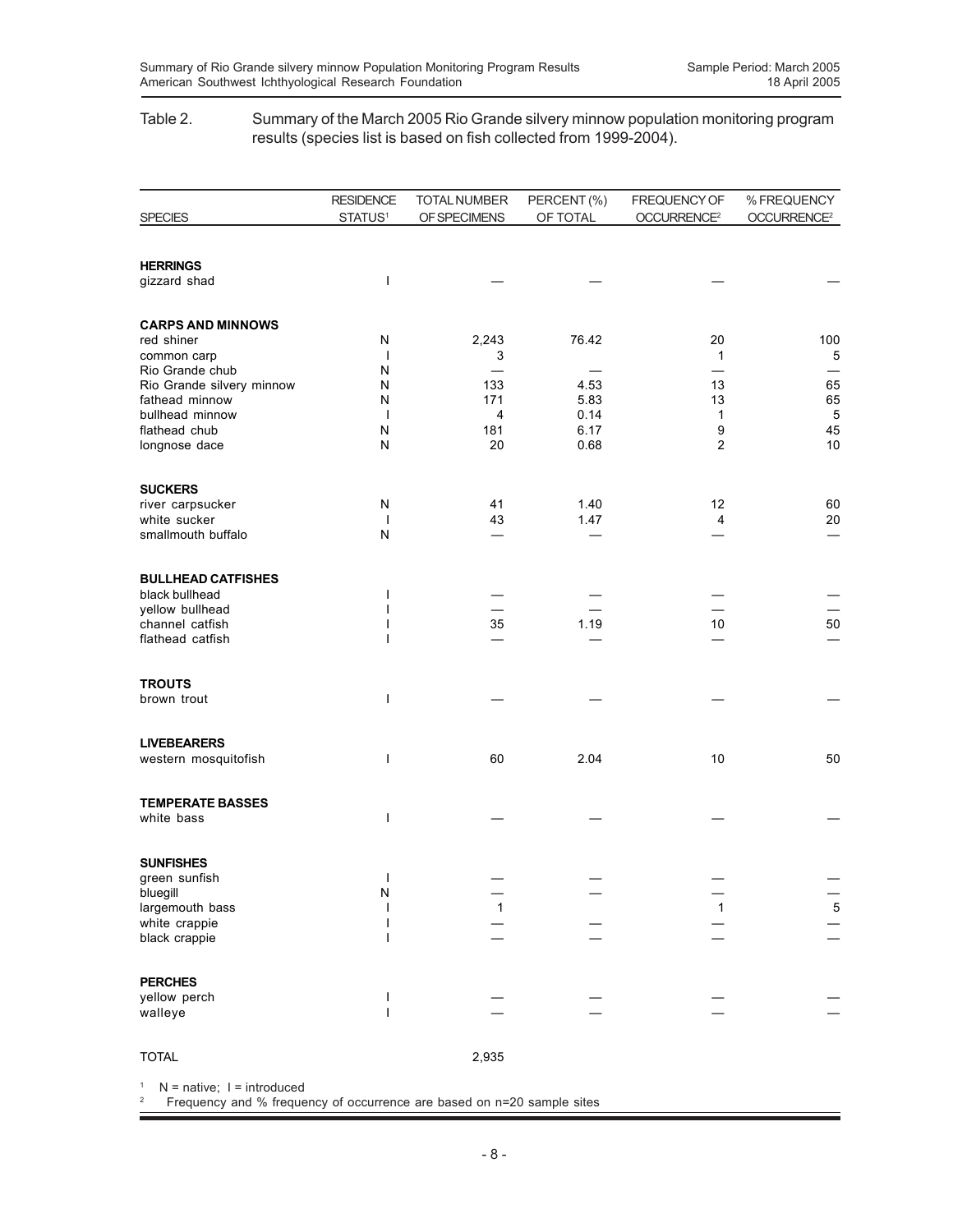#### Table 2. Summary of the March 2005 Rio Grande silvery minnow population monitoring program results (species list is based on fish collected from 1999-2004).

|                                              | <b>RESIDENCE</b>         | <b>TOTAL NUMBER</b> | PERCENT (%) | FREQUENCY OF            | % FREQUENCY             |
|----------------------------------------------|--------------------------|---------------------|-------------|-------------------------|-------------------------|
| <b>SPECIES</b>                               | STATUS <sup>1</sup>      | OF SPECIMENS        | OF TOTAL    | OCCURRENCE <sup>2</sup> | OCCURRENCE <sup>2</sup> |
|                                              |                          |                     |             |                         |                         |
| <b>HERRINGS</b><br>gizzard shad              | $\overline{\phantom{a}}$ |                     |             |                         |                         |
|                                              |                          |                     |             |                         |                         |
| <b>CARPS AND MINNOWS</b>                     |                          |                     |             |                         |                         |
| red shiner                                   | N                        | 2,243               | 76.42       | 20                      | 100                     |
| common carp                                  | $\overline{\phantom{a}}$ | 3                   |             | 1                       | 5                       |
| Rio Grande chub<br>Rio Grande silvery minnow | N<br>N                   | 133                 | 4.53        | 13                      | 65                      |
| fathead minnow                               | N                        | 171                 | 5.83        | 13                      | 65                      |
| bullhead minnow                              | $\mathbf{I}$             | 4                   | 0.14        | 1                       | 5                       |
| flathead chub                                | ${\sf N}$                | 181                 | 6.17        | 9                       | 45                      |
| longnose dace                                | N                        | 20                  | 0.68        | $\overline{\mathbf{c}}$ | 10                      |
| <b>SUCKERS</b>                               |                          |                     |             |                         |                         |
| river carpsucker                             | N                        | 41                  | 1.40        | 12                      | 60                      |
| white sucker                                 | $\overline{\phantom{a}}$ | 43                  | 1.47        | 4                       | 20                      |
| smallmouth buffalo                           | N                        |                     |             |                         |                         |
| <b>BULLHEAD CATFISHES</b>                    |                          |                     |             |                         |                         |
| black bullhead                               |                          |                     |             |                         |                         |
| yellow bullhead<br>channel catfish           |                          | 35                  | 1.19        | 10                      | 50                      |
| flathead catfish                             |                          |                     |             |                         |                         |
| <b>TROUTS</b>                                |                          |                     |             |                         |                         |
| brown trout                                  | $\mathbf{I}$             |                     |             |                         |                         |
|                                              |                          |                     |             |                         |                         |
| <b>LIVEBEARERS</b>                           |                          |                     |             |                         |                         |
| western mosquitofish                         | I                        | 60                  | 2.04        | 10                      | 50                      |
| <b>TEMPERATE BASSES</b>                      |                          |                     |             |                         |                         |
| white bass                                   | I                        |                     |             |                         |                         |
| <b>SUNFISHES</b>                             |                          |                     |             |                         |                         |
| green sunfish                                | $\mathbf{I}$             |                     |             |                         |                         |
| bluegill                                     | N                        |                     |             |                         |                         |
| largemouth bass<br>white crappie             | I                        |                     |             | $\mathbf{1}$            | $\overline{5}$          |
| black crappie                                |                          |                     |             |                         |                         |
|                                              |                          |                     |             |                         |                         |
| <b>PERCHES</b><br>yellow perch               | I                        |                     |             |                         |                         |
| walleye                                      |                          |                     |             |                         |                         |
| <b>TOTAL</b>                                 |                          | 2,935               |             |                         |                         |
|                                              |                          |                     |             |                         |                         |

 $1$  N = native; I = introduced

2 Frequency and % frequency of occurrence are based on n=20 sample sites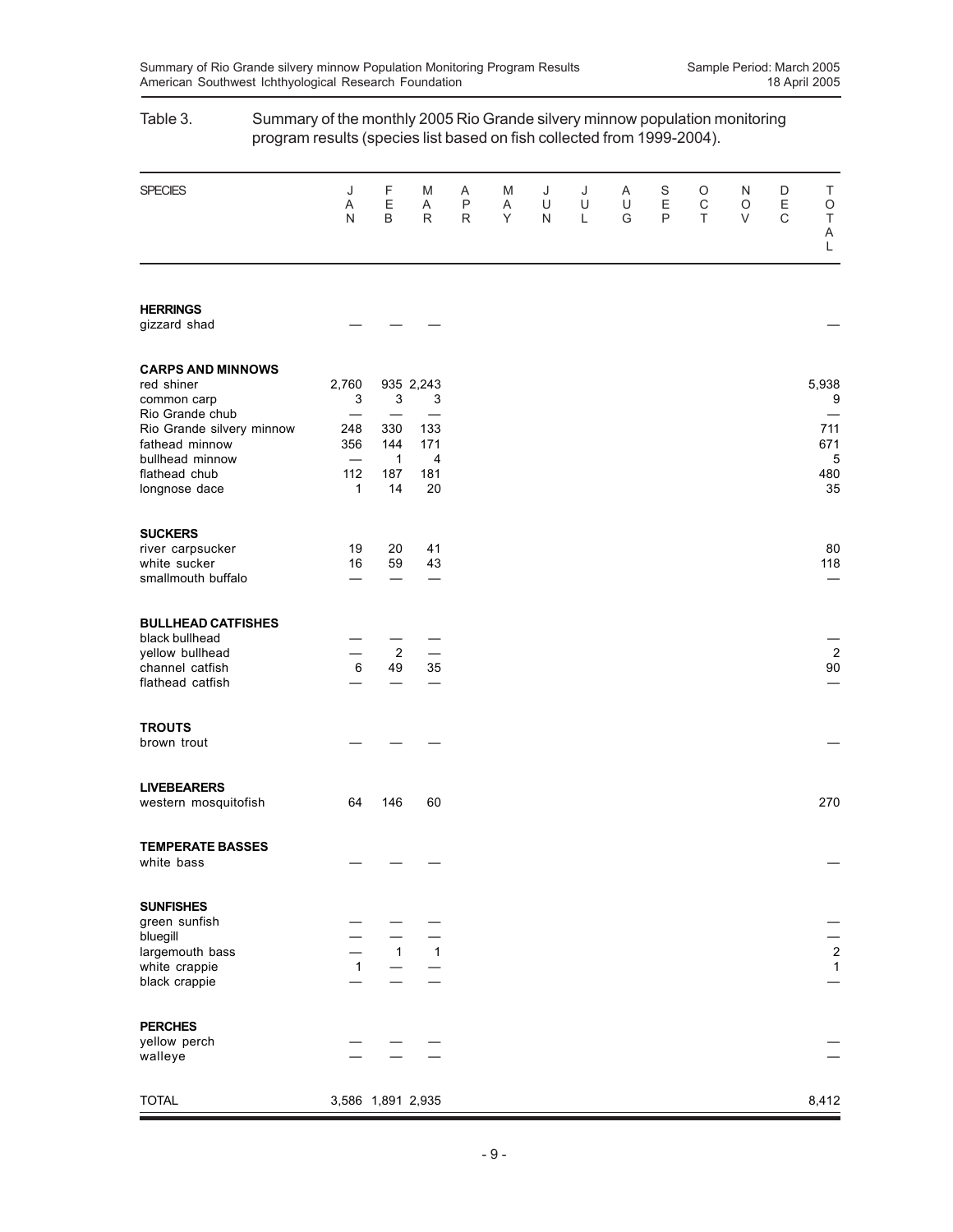|                                                                                                                                                                              | program results (species list based on fish collected from 1999-2004).                                  |                                              |                                                                            |                              |             |             |             |             |                                 |             |             |                                  |                                            |
|------------------------------------------------------------------------------------------------------------------------------------------------------------------------------|---------------------------------------------------------------------------------------------------------|----------------------------------------------|----------------------------------------------------------------------------|------------------------------|-------------|-------------|-------------|-------------|---------------------------------|-------------|-------------|----------------------------------|--------------------------------------------|
| <b>SPECIES</b>                                                                                                                                                               | J<br>Α<br>N                                                                                             | F<br>$\mathsf E$<br>B                        | M<br>Α<br>R                                                                | Α<br>$\sf P$<br>$\mathsf{R}$ | M<br>Α<br>Υ | J<br>U<br>N | J<br>U<br>L | Α<br>U<br>G | $\mathbf S$<br>$\mathsf E$<br>P | O<br>C<br>T | N<br>O<br>V | D<br>$\mathsf E$<br>$\mathsf{C}$ | Τ<br>$\circ$<br>$\top$<br>A<br>L           |
| <b>HERRINGS</b><br>gizzard shad                                                                                                                                              |                                                                                                         |                                              |                                                                            |                              |             |             |             |             |                                 |             |             |                                  |                                            |
| <b>CARPS AND MINNOWS</b><br>red shiner<br>common carp<br>Rio Grande chub<br>Rio Grande silvery minnow<br>fathead minnow<br>bullhead minnow<br>flathead chub<br>longnose dace | 2,760<br>3<br>$\overline{\phantom{0}}$<br>248<br>356<br>$\overline{\phantom{0}}$<br>112<br>$\mathbf{1}$ | 3<br>330<br>144<br>$\mathbf{1}$<br>187<br>14 | 935 2,243<br>3<br>$\overline{\phantom{0}}$<br>133<br>171<br>4<br>181<br>20 |                              |             |             |             |             |                                 |             |             |                                  | 5,938<br>9<br>711<br>671<br>5<br>480<br>35 |
| <b>SUCKERS</b><br>river carpsucker<br>white sucker<br>smallmouth buffalo                                                                                                     | 19<br>16                                                                                                | 20<br>59                                     | 41<br>43                                                                   |                              |             |             |             |             |                                 |             |             |                                  | 80<br>118                                  |
| <b>BULLHEAD CATFISHES</b><br>black bullhead<br>yellow bullhead<br>channel catfish<br>flathead catfish                                                                        | $\,6\,$                                                                                                 | $\overline{c}$<br>49                         | 35                                                                         |                              |             |             |             |             |                                 |             |             |                                  | $\overline{c}$<br>90                       |
| <b>TROUTS</b><br>brown trout                                                                                                                                                 |                                                                                                         |                                              |                                                                            |                              |             |             |             |             |                                 |             |             |                                  |                                            |
| <b>LIVEBEARERS</b><br>western mosquitofish                                                                                                                                   | 64                                                                                                      | 146                                          | 60                                                                         |                              |             |             |             |             |                                 |             |             |                                  | 270                                        |
| <b>TEMPERATE BASSES</b><br>white bass                                                                                                                                        |                                                                                                         |                                              |                                                                            |                              |             |             |             |             |                                 |             |             |                                  |                                            |
| <b>SUNFISHES</b><br>green sunfish<br>bluegill<br>largemouth bass<br>white crappie<br>black crappie                                                                           | $\mathbf{1}$                                                                                            | $\mathbf{1}$                                 | $\overline{1}$                                                             |                              |             |             |             |             |                                 |             |             |                                  | $\begin{array}{c} 2 \\ 1 \end{array}$      |
| <b>PERCHES</b><br>yellow perch<br>walleye                                                                                                                                    |                                                                                                         |                                              |                                                                            |                              |             |             |             |             |                                 |             |             |                                  |                                            |
| <b>TOTAL</b>                                                                                                                                                                 | 3,586 1,891 2,935                                                                                       |                                              |                                                                            |                              |             |             |             |             |                                 |             |             |                                  | 8,412                                      |

# Table 3. Summary of the monthly 2005 Rio Grande silvery minnow population monitoring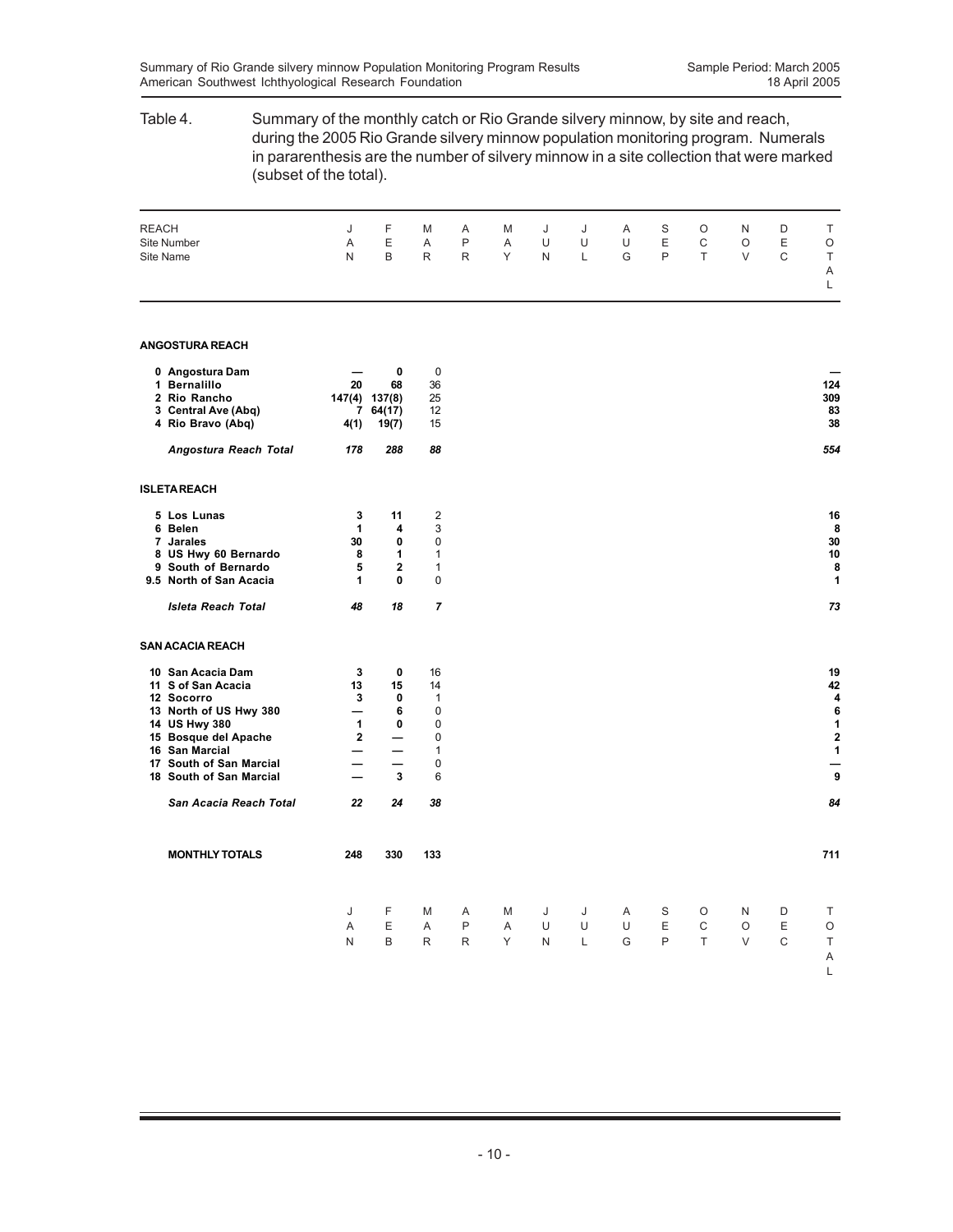## Table 4. Summary of the monthly catch or Rio Grande silvery minnow, by site and reach, during the 2005 Rio Grande silvery minnow population monitoring program. Numerals in pararenthesis are the number of silvery minnow in a site collection that were marked (subset of the total). REACH J F M A M J J A S O N D T Site Number A E A P A U U U E C O E O Site Name N B R R Y N L G P T V C T A L **ANGOSTURA REACH 0 Angostura Dam — 0** 0 **— 1 Bernalillo 20 68** 36 **124 2 Rio Rancho 147(4) 137(8)** 25 **309 3 Central Ave (Abq) 4 Rio Bravo (Abq) 4(1) 19(7)** 15 **38** *Angostura Reach Total 178 288 88 554* **ISLETA REACH 5 Los Lunas 3 11** 2 **16 6 Belen 1 4** 3 **8 7 Jarales 30 0** 0 **30 8 US Hwy 60 Bernardo 8 1** 1 **10 9 South of Bernardo 5 2** 1 **8 9.5 North of San Acacia 1 0** 0 **1** *Isleta Reach Total 48 18 7 73* **SAN ACACIA REACH 10 San Acacia Dam 3 0** 16 **19 11 S of San Acacia 13 15** 14 **42 12 Socorro 3 0** 1 **4 13 North of US Hwy 380 — 6** 0 **6 14 US Hwy 380 1 0** 0<br> **15 Bosque del Apache 2** - 0<br> **16 San Marcial** - 1<br> **17 South of San Marcial** - - 0 **15 Bosque del Apache** 2 — 0 <br> **16 San Marcial** — 1 <br> **17 South of San Marcial** — 0 <br> **18 South of San Marcial** — 3 6 <br> **18 South of San Marcial** — 3 6 **16 San Marcial — —** 1 **1 17 South of San Marcial — —** 0 **— 18 South of San Marcial** *San Acacia Reach Total 22 24 38 84* **MONTHLY TOTALS 248 330 133 711** J FMA MJ J ASO ND T AEAP AUU UEC OE O NBRR YNL GPT VC T A L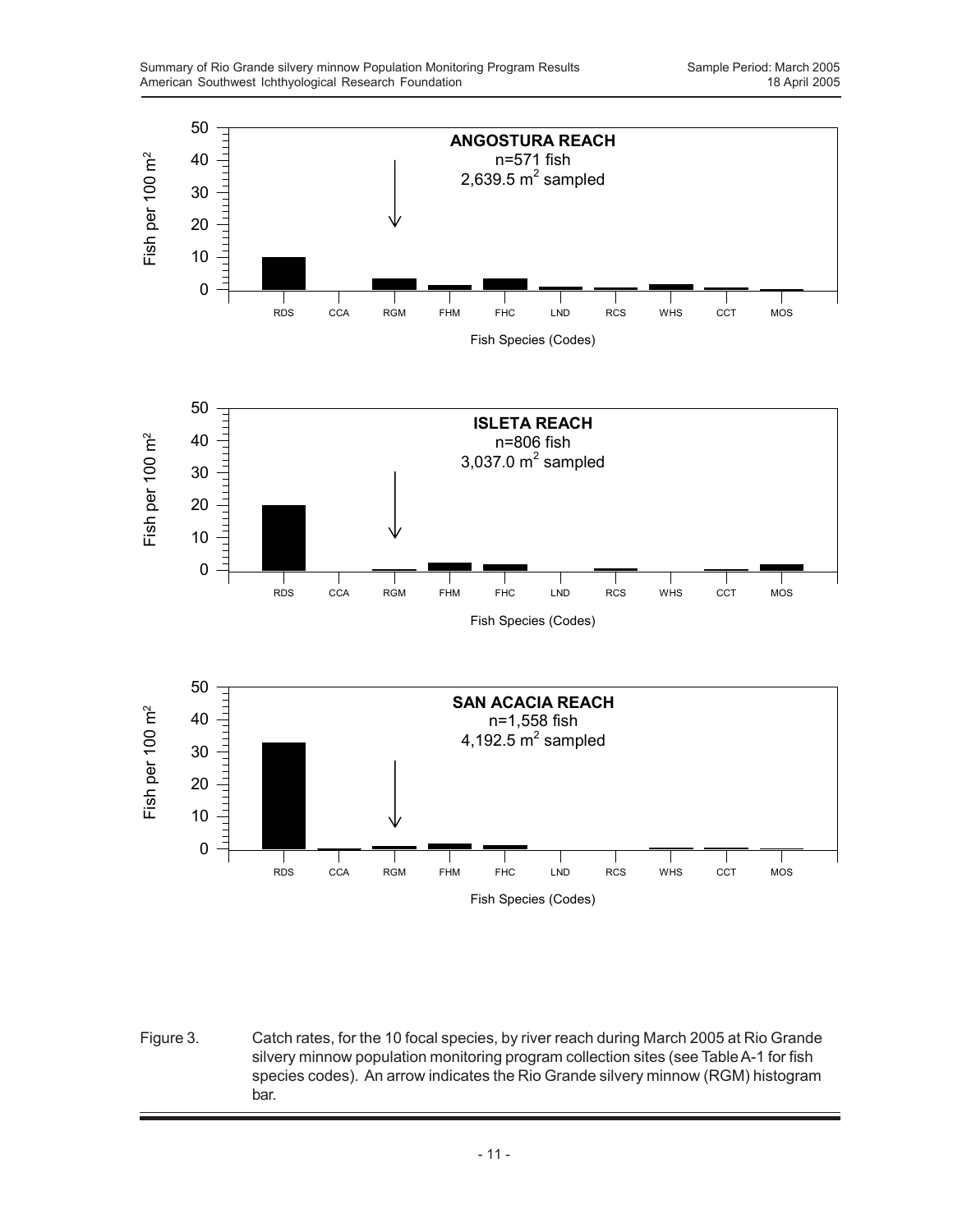

Figure 3. Catch rates, for the 10 focal species, by river reach during March 2005 at Rio Grande silvery minnow population monitoring program collection sites (see Table A-1 for fish species codes). An arrow indicates the Rio Grande silvery minnow (RGM) histogram bar.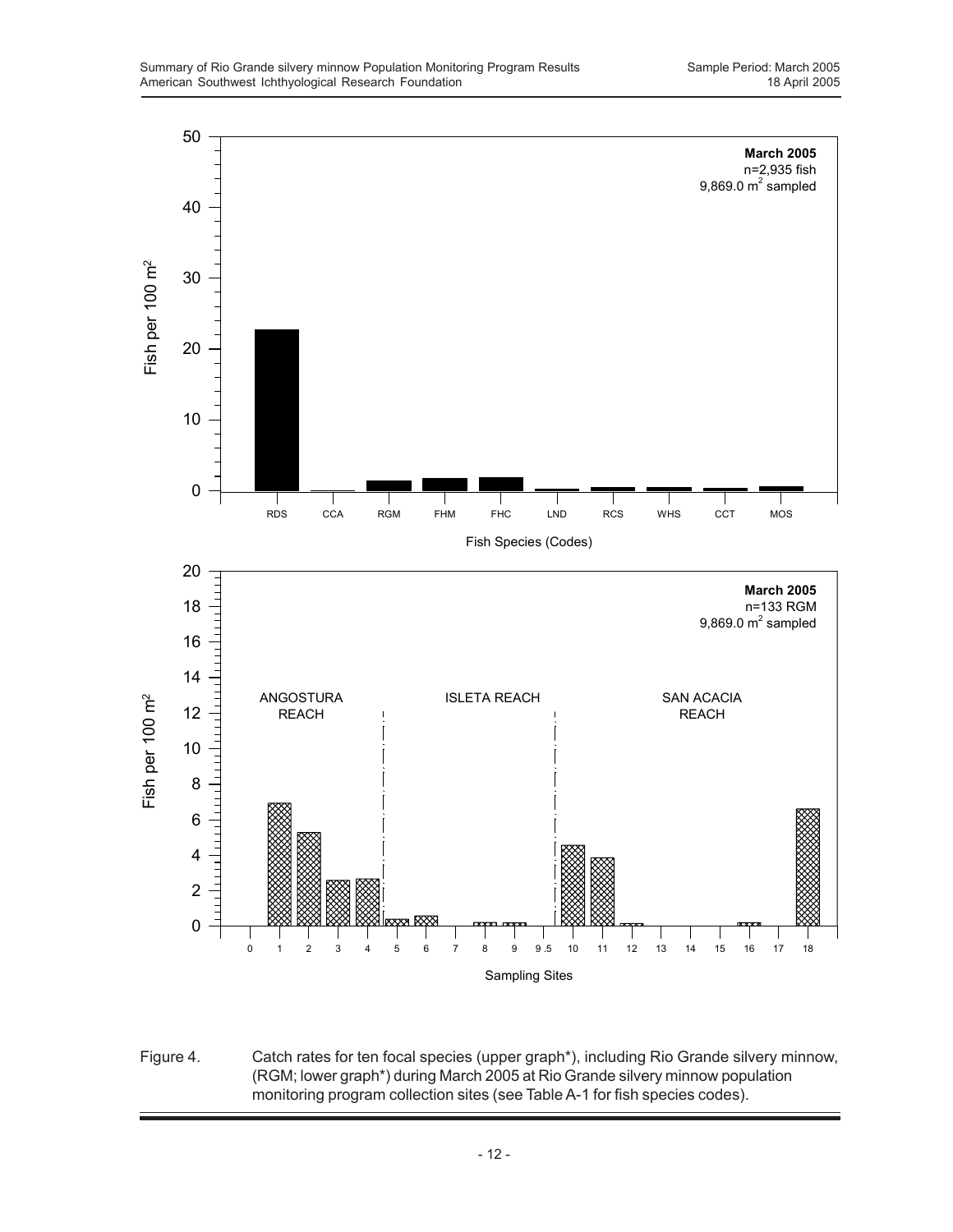

Figure 4. Catch rates for ten focal species (upper graph\*), including Rio Grande silvery minnow, (RGM; lower graph\*) during March 2005 at Rio Grande silvery minnow population monitoring program collection sites (see Table A-1 for fish species codes).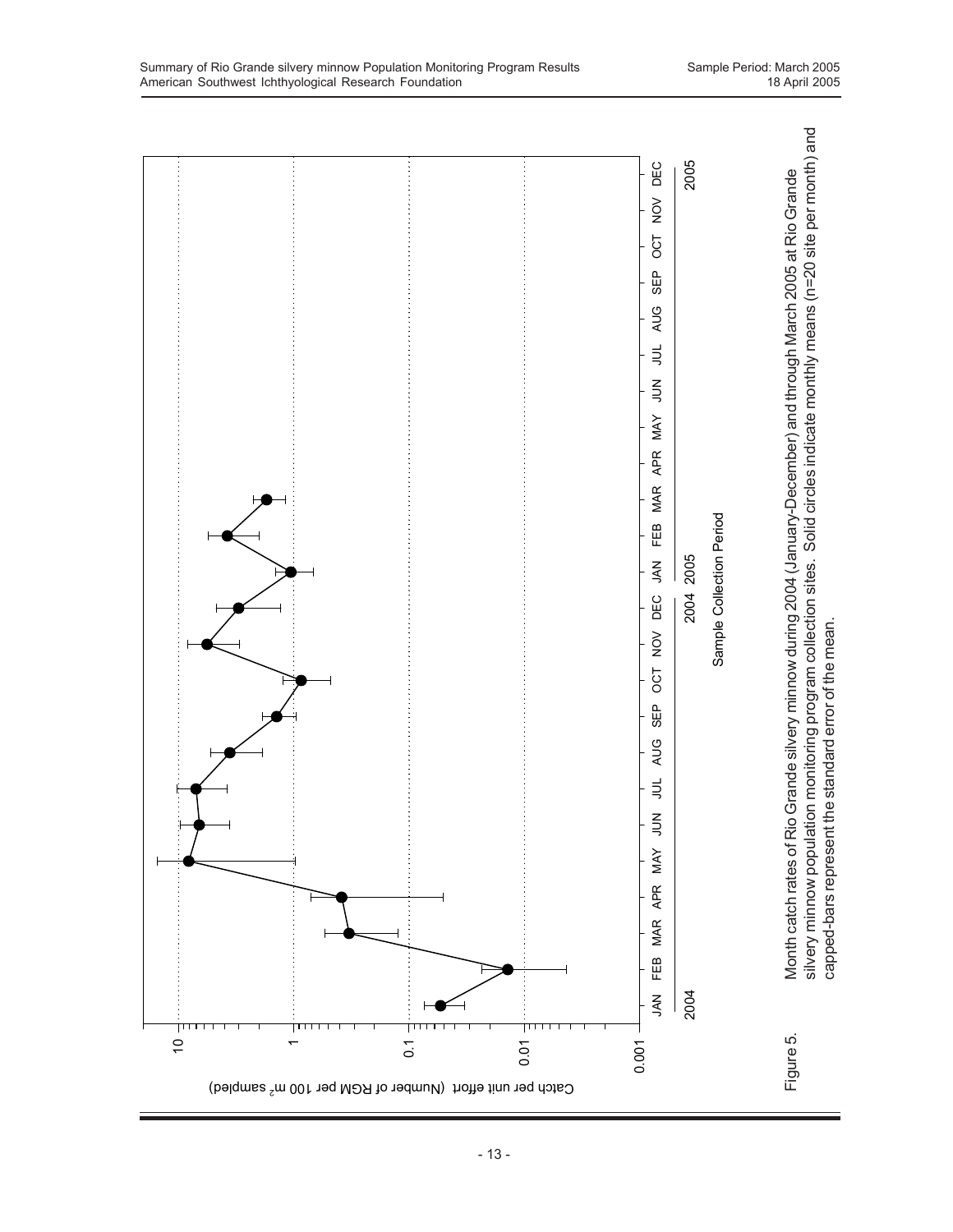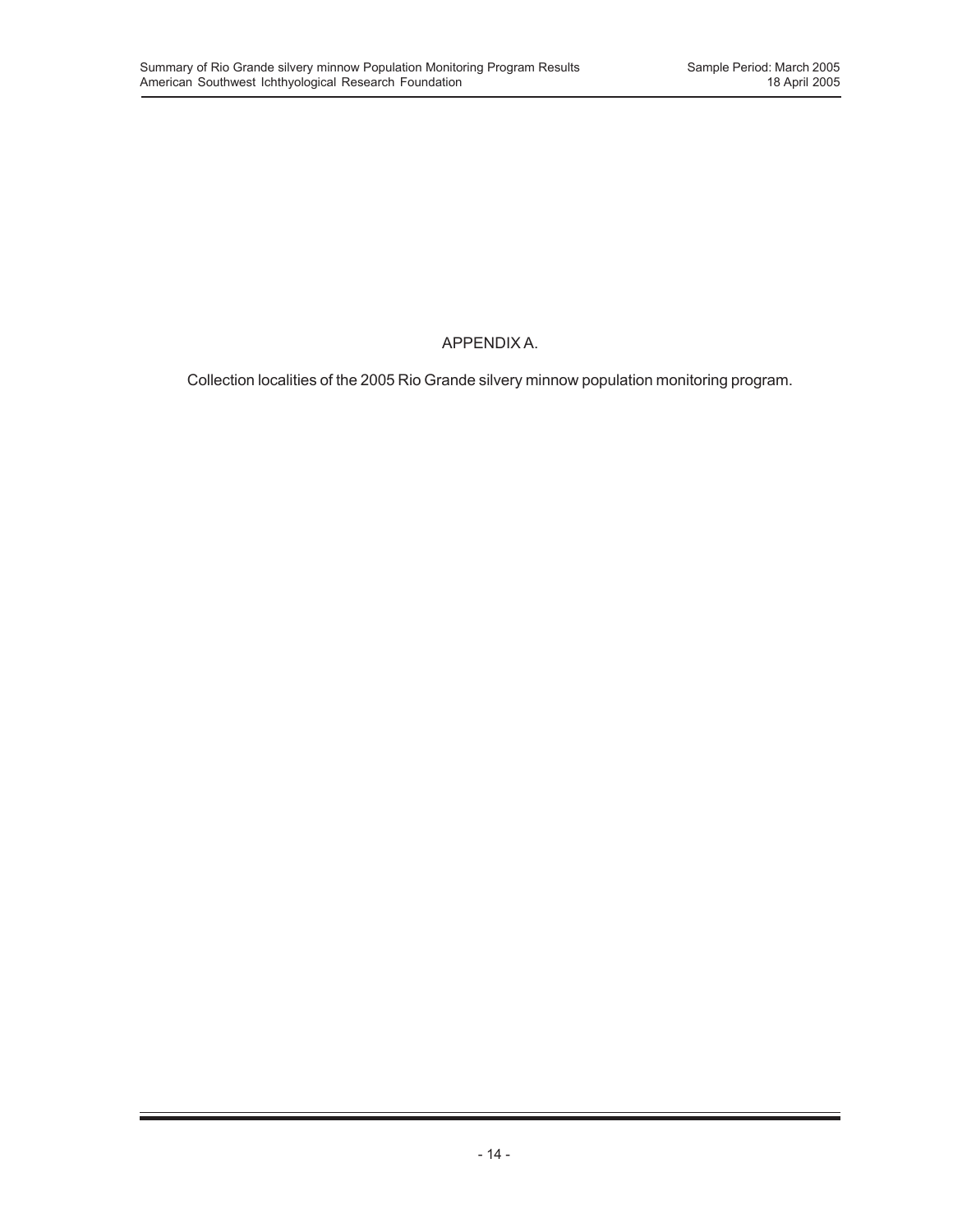## APPENDIX A.

Collection localities of the 2005 Rio Grande silvery minnow population monitoring program.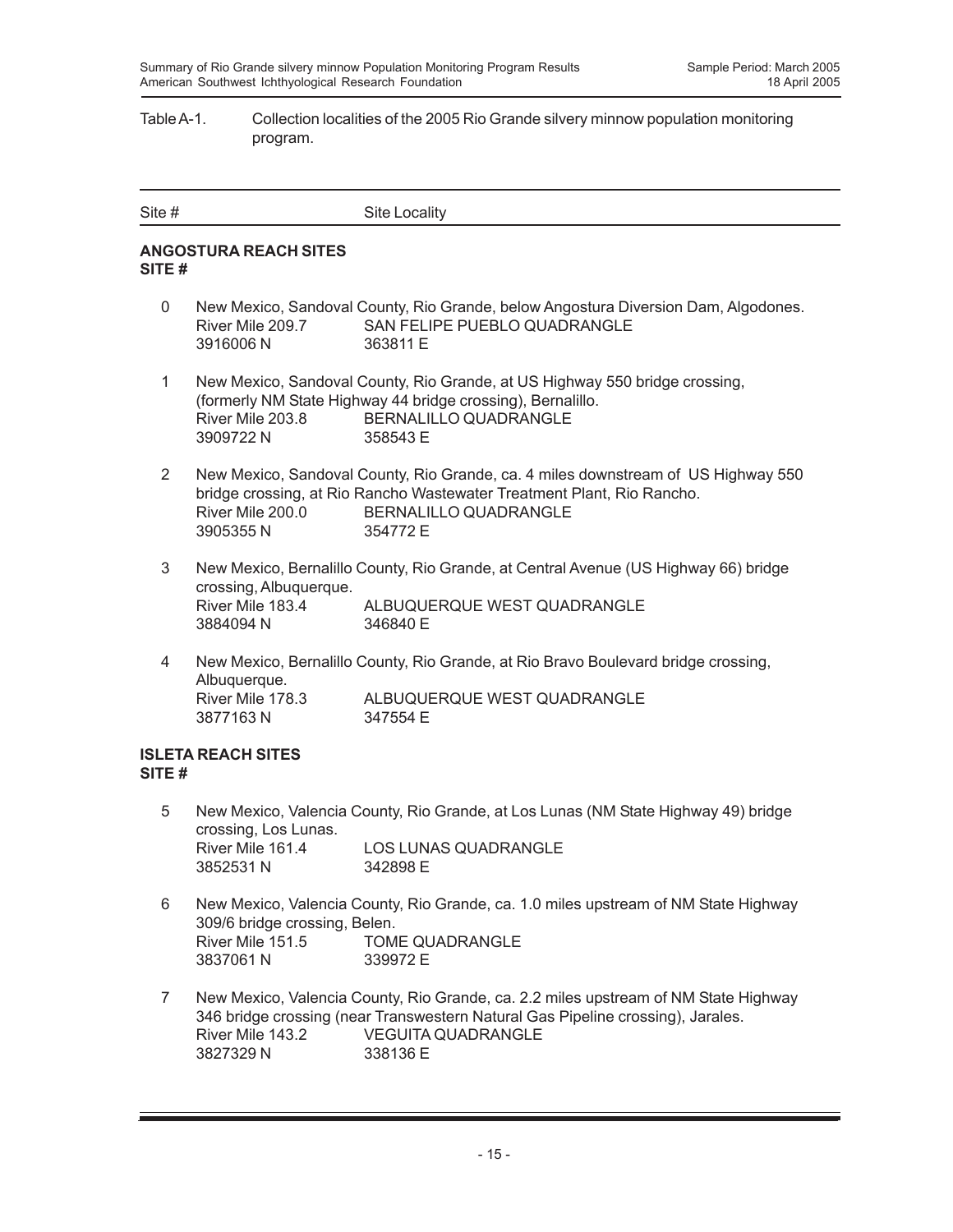#### Table A-1. Collection localities of the 2005 Rio Grande silvery minnow population monitoring program.

| Site # | Site Locality |
|--------|---------------|
|        |               |

#### **ANGOSTURA REACH SITES SITE #**

- 0 New Mexico, Sandoval County, Rio Grande, below Angostura Diversion Dam, Algodones. River Mile 209.7 SAN FELIPE PUEBLO QUADRANGLE 3916006 N 363811 E
- 1 New Mexico, Sandoval County, Rio Grande, at US Highway 550 bridge crossing, (formerly NM State Highway 44 bridge crossing), Bernalillo. River Mile 203.8 BERNALILLO QUADRANGLE 3909722 N 358543 E
- 2 New Mexico, Sandoval County, Rio Grande, ca. 4 miles downstream of US Highway 550 bridge crossing, at Rio Rancho Wastewater Treatment Plant, Rio Rancho. River Mile 200.0 BERNALILLO QUADRANGLE 3905355 N 354772 E
- 3 New Mexico, Bernalillo County, Rio Grande, at Central Avenue (US Highway 66) bridge crossing, Albuquerque. ALBUQUERQUE WEST QUADRANGLE 3884094 N 346840 E
- 4 New Mexico, Bernalillo County, Rio Grande, at Rio Bravo Boulevard bridge crossing, Albuquerque. River Mile 178.3 ALBUQUERQUE WEST QUADRANGLE 3877163 N 347554 E

#### **ISLETA REACH SITES SITE #**

- 5 New Mexico, Valencia County, Rio Grande, at Los Lunas (NM State Highway 49) bridge crossing, Los Lunas. River Mile 161.4 LOS LUNAS QUADRANGLE 3852531 N 342898 E
- 6 New Mexico, Valencia County, Rio Grande, ca. 1.0 miles upstream of NM State Highway 309/6 bridge crossing, Belen. River Mile 151.5 TOME QUADRANGLE 3837061 N 339972 E
- 7 New Mexico, Valencia County, Rio Grande, ca. 2.2 miles upstream of NM State Highway 346 bridge crossing (near Transwestern Natural Gas Pipeline crossing), Jarales. River Mile 143.2 VEGUITA QUADRANGLE 3827329 N 338136 E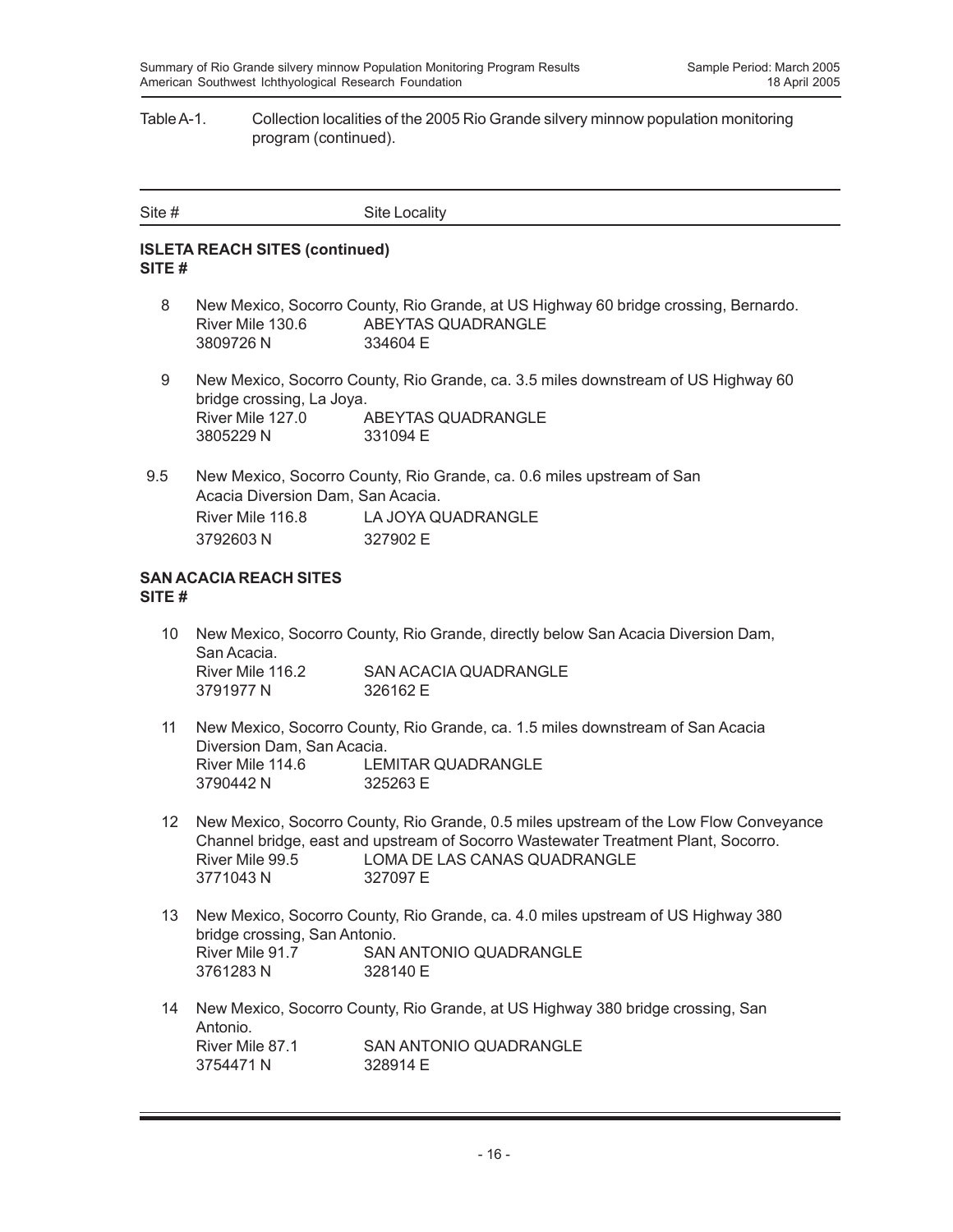#### Table A-1. Collection localities of the 2005 Rio Grande silvery minnow population monitoring program (continued).

| Site # | Site Locality |
|--------|---------------|
|        |               |

#### **ISLETA REACH SITES (continued) SITE #**

- 8 New Mexico, Socorro County, Rio Grande, at US Highway 60 bridge crossing, Bernardo. River Mile 130.6 ABEYTAS QUADRANGLE 3809726 N 334604 E
- 9 New Mexico, Socorro County, Rio Grande, ca. 3.5 miles downstream of US Highway 60 bridge crossing, La Joya. River Mile 127.0 ABEYTAS QUADRANGLE 3805229 N 331094 E
- 9.5 New Mexico, Socorro County, Rio Grande, ca. 0.6 miles upstream of San Acacia Diversion Dam, San Acacia. River Mile 116.8 LA JOYA QUADRANGLE 3792603 N 327902 E

#### **SAN ACACIA REACH SITES SITE #**

- 10 New Mexico, Socorro County, Rio Grande, directly below San Acacia Diversion Dam, San Acacia. River Mile 116.2 SAN ACACIA QUADRANGLE 3791977 N 326162 E
- 11 New Mexico, Socorro County, Rio Grande, ca. 1.5 miles downstream of San Acacia Diversion Dam, San Acacia. River Mile 114.6 LEMITAR QUADRANGLE 3790442 N 325263 E
- 12 New Mexico, Socorro County, Rio Grande, 0.5 miles upstream of the Low Flow Conveyance Channel bridge, east and upstream of Socorro Wastewater Treatment Plant, Socorro. River Mile 99.5 LOMA DE LAS CANAS QUADRANGLE 3771043 N 327097 E
- 13 New Mexico, Socorro County, Rio Grande, ca. 4.0 miles upstream of US Highway 380 bridge crossing, San Antonio. River Mile 91.7 SAN ANTONIO QUADRANGLE 3761283 N 328140 E
- 14 New Mexico, Socorro County, Rio Grande, at US Highway 380 bridge crossing, San Antonio.<br>River Mile 87.1 SAN ANTONIO QUADRANGLE 3754471 N 328914 F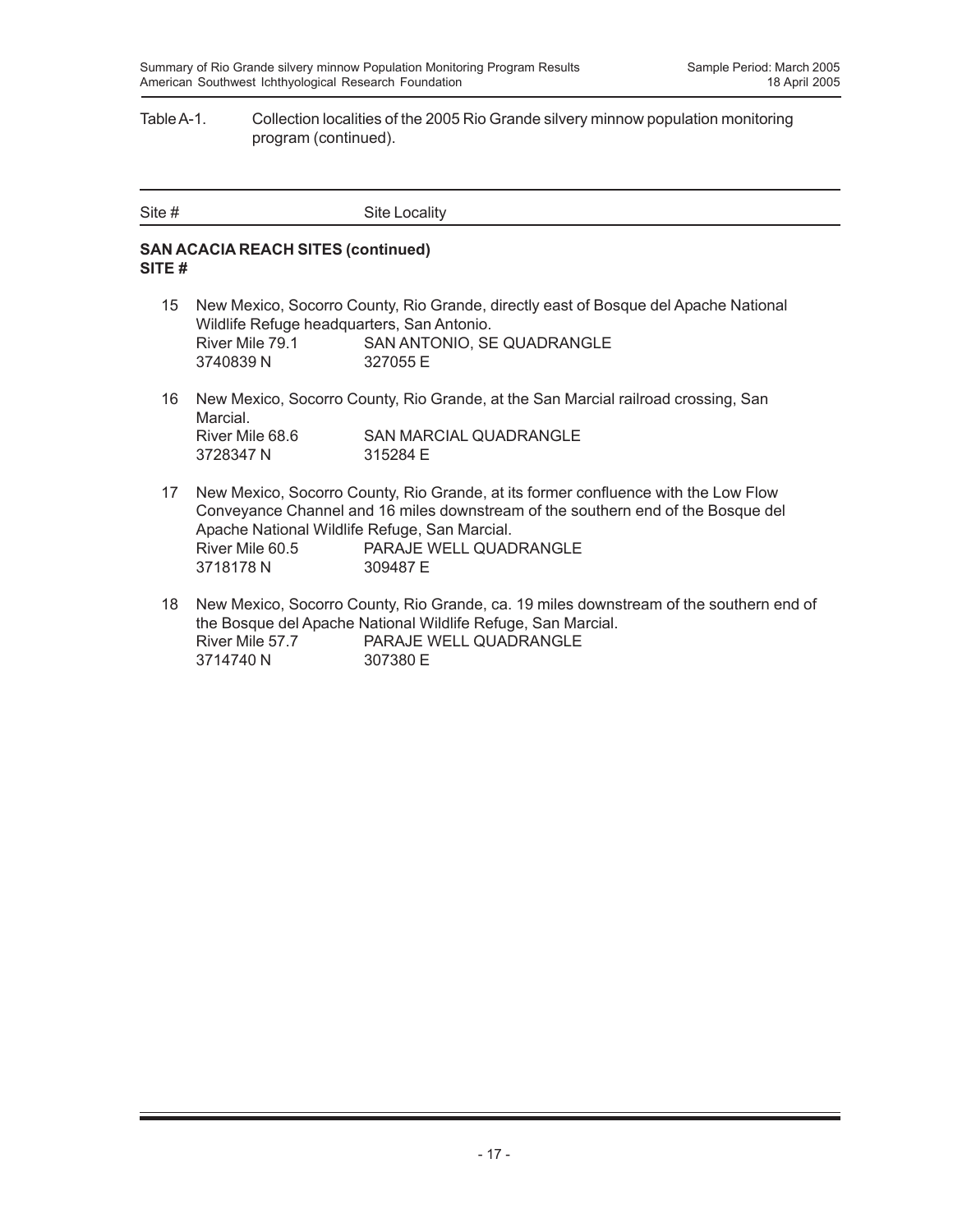#### Table A-1. Collection localities of the 2005 Rio Grande silvery minnow population monitoring program (continued).

| Site # | Site Locality |
|--------|---------------|

#### **SAN ACACIA REACH SITES (continued) SITE #**

- 15 New Mexico, Socorro County, Rio Grande, directly east of Bosque del Apache National Wildlife Refuge headquarters, San Antonio. River Mile 79.1 SAN ANTONIO, SE QUADRANGLE 3740839 N 327055 E
- 16 New Mexico, Socorro County, Rio Grande, at the San Marcial railroad crossing, San Marcial. River Mile 68.6 SAN MARCIAL QUADRANGLE 3728347 N 315284 E
- 17 New Mexico, Socorro County, Rio Grande, at its former confluence with the Low Flow Conveyance Channel and 16 miles downstream of the southern end of the Bosque del Apache National Wildlife Refuge, San Marcial. River Mile 60.5 PARAJE WELL QUADRANGLE 3718178 N 309487 E
- 18 New Mexico, Socorro County, Rio Grande, ca. 19 miles downstream of the southern end of the Bosque del Apache National Wildlife Refuge, San Marcial. River Mile 57.7 PARAJE WELL QUADRANGLE 3714740 N 307380 E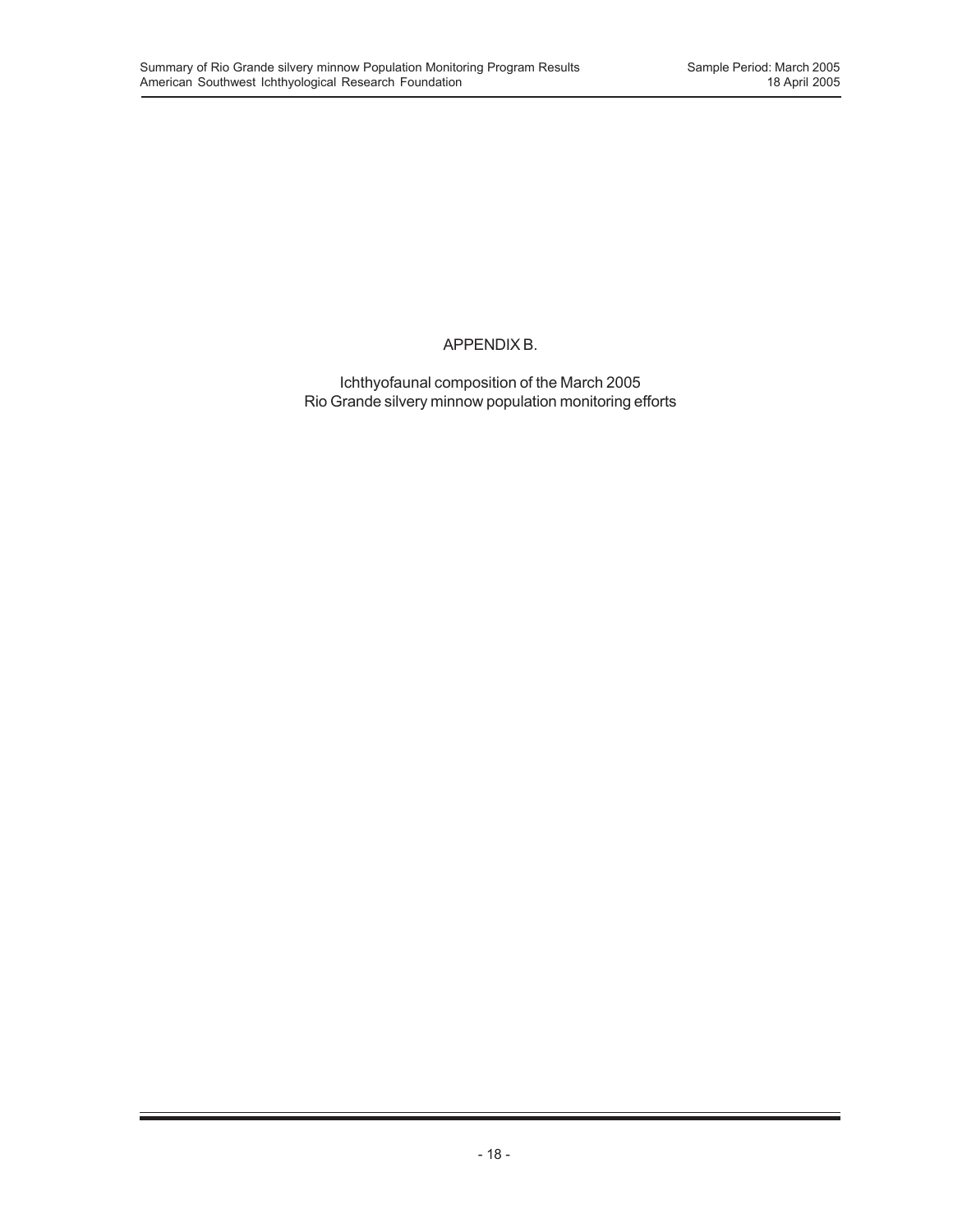## APPENDIX B.

Ichthyofaunal composition of the March 2005 Rio Grande silvery minnow population monitoring efforts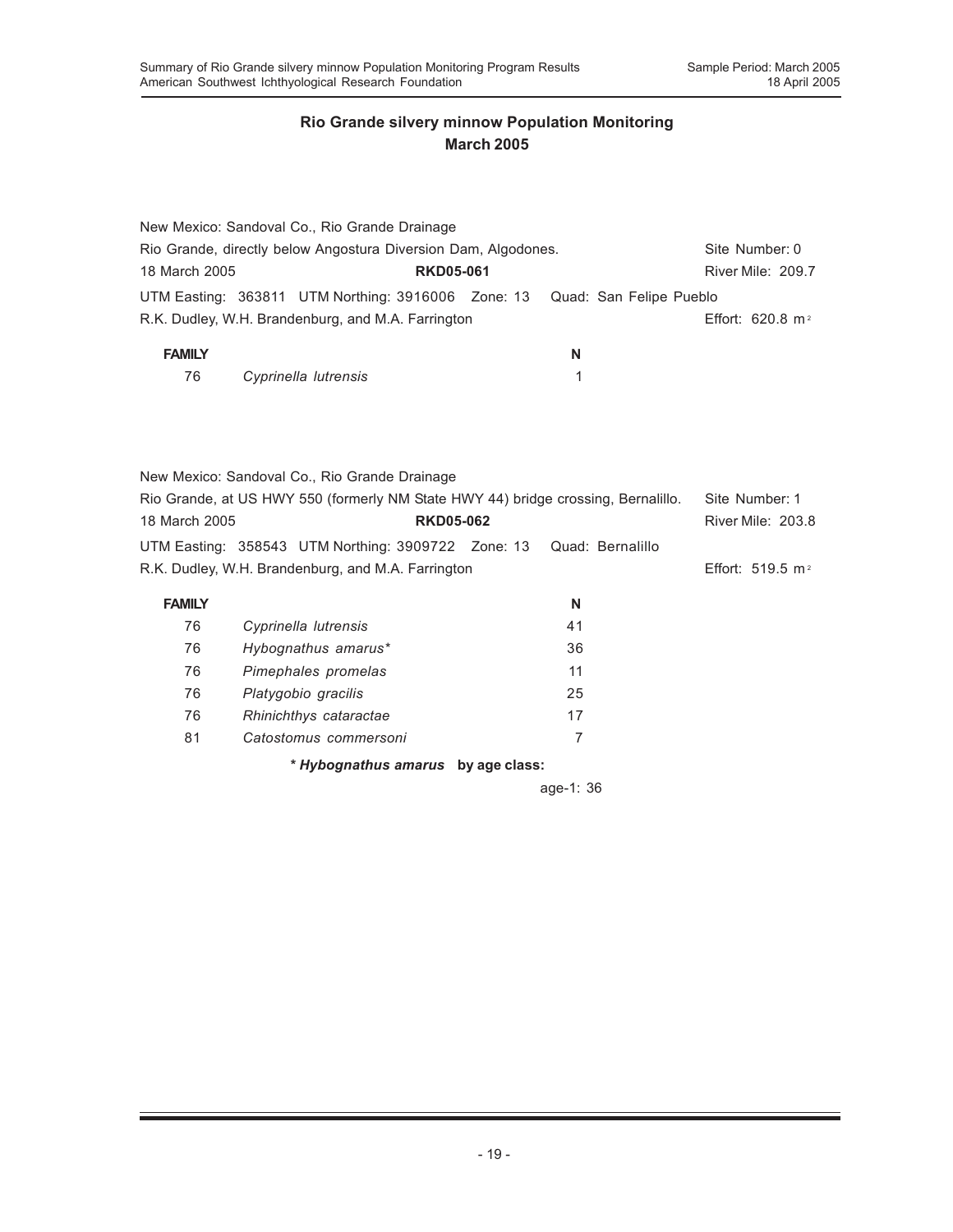|               | New Mexico: Sandoval Co., Rio Grande Drainage                              |                  |   |                |                             |
|---------------|----------------------------------------------------------------------------|------------------|---|----------------|-----------------------------|
|               | Rio Grande, directly below Angostura Diversion Dam, Algodones.             |                  |   | Site Number: 0 |                             |
| 18 March 2005 |                                                                            | <b>RKD05-061</b> |   |                | River Mile: 209.7           |
|               | UTM Easting: 363811 UTM Northing: 3916006 Zone: 13 Quad: San Felipe Pueblo |                  |   |                |                             |
|               | R.K. Dudley, W.H. Brandenburg, and M.A. Farrington                         |                  |   |                | Effort: $620.8 \text{ m}^2$ |
| <b>FAMILY</b> |                                                                            |                  | N |                |                             |
| 76            | Cyprinella lutrensis                                                       |                  |   |                |                             |

New Mexico: Sandoval Co., Rio Grande Drainage Rio Grande, at US HWY 550 (formerly NM State HWY 44) bridge crossing, Bernalillo. Site Number: 1 18 March 2005 **RKD05-062** River Mile: 203.8 UTM Easting: 358543 UTM Northing: 3909722 Zone: 13 Quad: Bernalillo R.K. Dudley, W.H. Brandenburg, and M.A. Farrington **Effort: 519.5 m<sup>2</sup> FAMILY N** 76 *Cyprinella lutrensis* 41

| 70 | <i>Cyprinena lutterisis</i> | 41 |
|----|-----------------------------|----|
| 76 | Hybognathus amarus*         | 36 |
| 76 | Pimephales promelas         | 11 |
| 76 | Platygobio gracilis         | 25 |
| 76 | Rhinichthys cataractae      | 17 |
| 81 | Catostomus commersoni       |    |
|    |                             |    |

*\* Hybognathus amarus* **by age class:**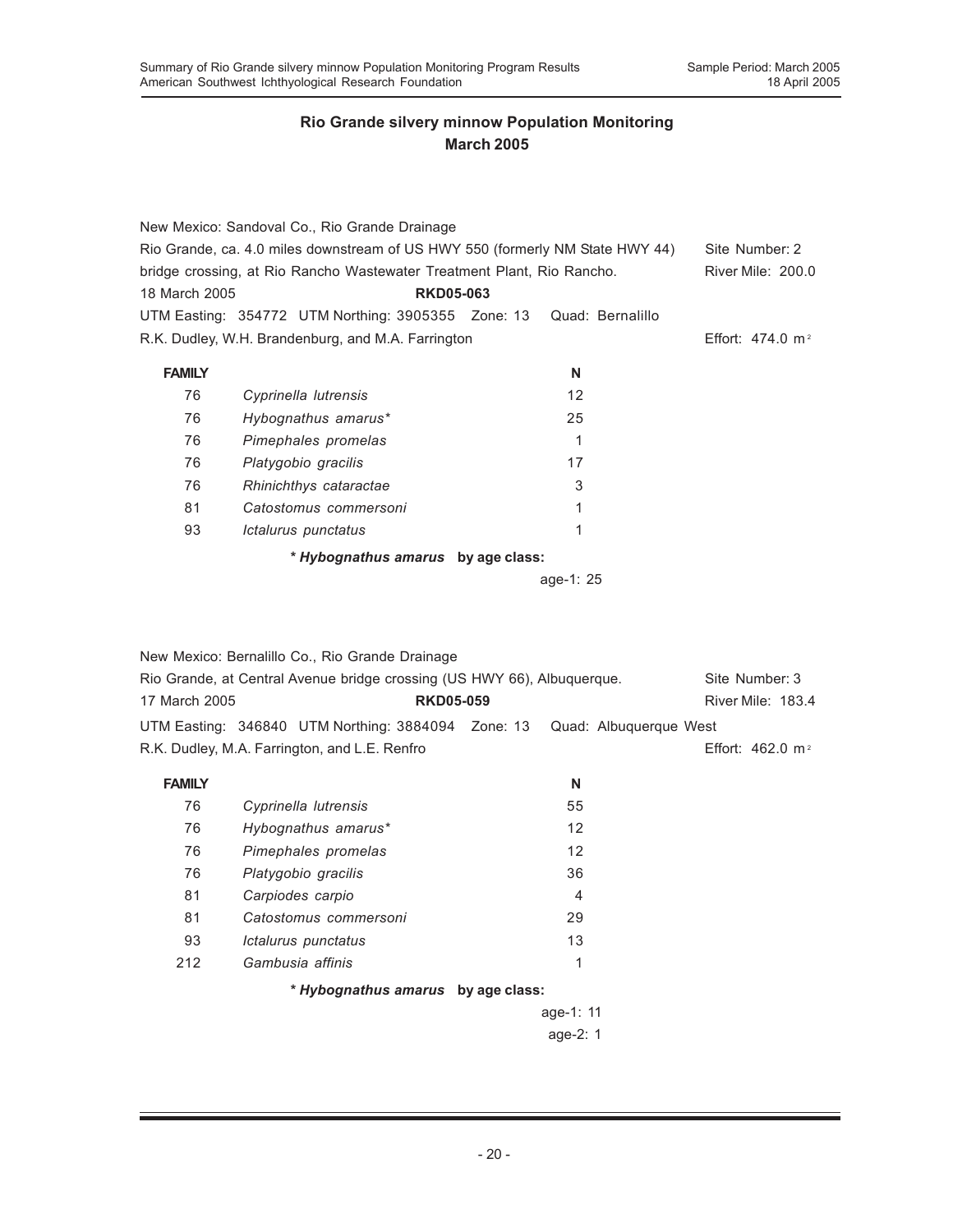|                                                                               | New Mexico: Sandoval Co., Rio Grande Drainage                          |           |                             |
|-------------------------------------------------------------------------------|------------------------------------------------------------------------|-----------|-----------------------------|
| Rio Grande, ca. 4.0 miles downstream of US HWY 550 (formerly NM State HWY 44) | Site Number: 2                                                         |           |                             |
|                                                                               | bridge crossing, at Rio Rancho Wastewater Treatment Plant, Rio Rancho. |           | River Mile: 200.0           |
| 18 March 2005                                                                 |                                                                        |           |                             |
|                                                                               | UTM Easting: 354772 UTM Northing: 3905355 Zone: 13 Quad: Bernalillo    |           |                             |
|                                                                               | R.K. Dudley, W.H. Brandenburg, and M.A. Farrington                     |           | Fffort: $474.0 \text{ m}^2$ |
| <b>FAMILY</b>                                                                 |                                                                        | N         |                             |
| 76                                                                            | Cyprinella lutrensis                                                   | 12        |                             |
| 76                                                                            | Hybognathus amarus*                                                    | 25        |                             |
| 76                                                                            | Pimephales promelas                                                    | 1         |                             |
| 76                                                                            | Platygobio gracilis                                                    | 17        |                             |
| 76                                                                            | Rhinichthys cataractae                                                 | 3         |                             |
| 81                                                                            | Catostomus commersoni                                                  | 1         |                             |
| 93                                                                            | Ictalurus punctatus                                                    | 1         |                             |
|                                                                               | * Hybognathus amarus by age class:                                     |           |                             |
|                                                                               |                                                                        | age-1: 25 |                             |
|                                                                               |                                                                        |           |                             |
|                                                                               |                                                                        |           |                             |

|               | New Mexico: Bernalillo Co., Rio Grande Drainage                           |    |                             |
|---------------|---------------------------------------------------------------------------|----|-----------------------------|
|               | Rio Grande, at Central Avenue bridge crossing (US HWY 66), Albuguergue.   |    | Site Number: 3              |
| 17 March 2005 | <b>RKD05-059</b>                                                          |    | <b>River Mile: 183.4</b>    |
|               | UTM Easting: 346840 UTM Northing: 3884094 Zone: 13 Quad: Albuquerque West |    |                             |
|               | R.K. Dudley, M.A. Farrington, and L.E. Renfro                             |    | Effort: $462.0 \text{ m}^2$ |
| <b>FAMILY</b> |                                                                           | N  |                             |
| 76            | Cyprinella lutrensis                                                      | 55 |                             |
| 76            | Hybognathus amarus*                                                       | 12 |                             |
|               |                                                                           |    |                             |

| 76  | Pimephales promelas   | 12 |  |
|-----|-----------------------|----|--|
| 76  | Platygobio gracilis   | 36 |  |
| 81  | Carpiodes carpio      | 4  |  |
| 81  | Catostomus commersoni | 29 |  |
| 93  | Ictalurus punctatus   | 13 |  |
| 212 | Gambusia affinis      |    |  |
|     |                       |    |  |

*\* Hybognathus amarus* **by age class:**

age-1: 11

age-2: 1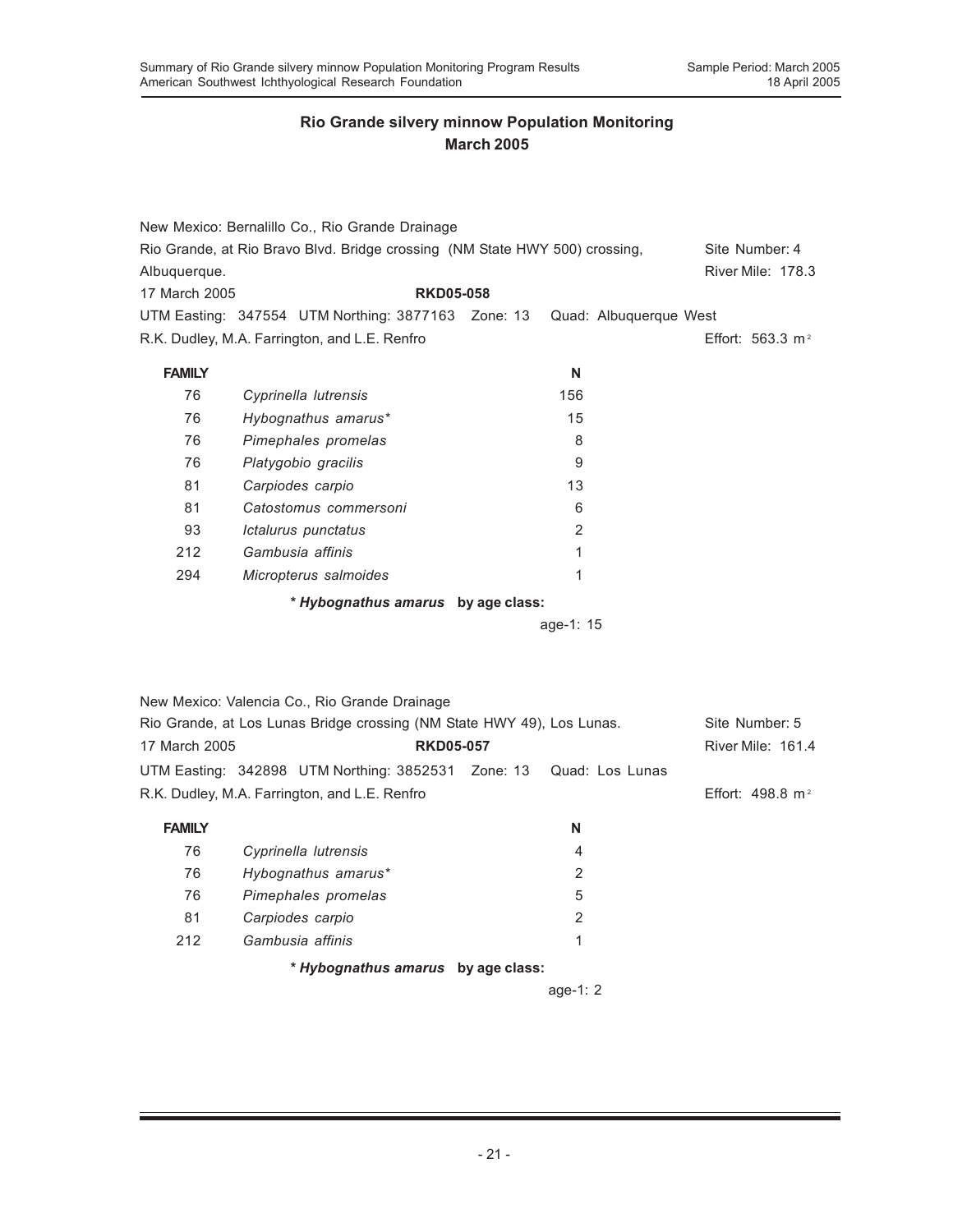|                                                                             | New Mexico: Bernalillo Co., Rio Grande Drainage                        |                        |                              |  |
|-----------------------------------------------------------------------------|------------------------------------------------------------------------|------------------------|------------------------------|--|
| Rio Grande, at Rio Bravo Blvd. Bridge crossing (NM State HWY 500) crossing, | Site Number: 4                                                         |                        |                              |  |
| Albuquerque.                                                                |                                                                        |                        | River Mile: 178.3            |  |
| 17 March 2005                                                               | <b>RKD05-058</b>                                                       |                        |                              |  |
|                                                                             | UTM Easting: 347554 UTM Northing: 3877163 Zone: 13                     | Quad: Albuquerque West |                              |  |
|                                                                             | R.K. Dudley, M.A. Farrington, and L.E. Renfro                          |                        | Effort: 563.3 $m2$           |  |
| <b>FAMILY</b>                                                               |                                                                        | N                      |                              |  |
| 76                                                                          | Cyprinella lutrensis                                                   | 156                    |                              |  |
| 76                                                                          | Hybognathus amarus*                                                    | 15                     |                              |  |
| 76                                                                          | Pimephales promelas                                                    | 8                      |                              |  |
| 76                                                                          | Platygobio gracilis                                                    | 9                      |                              |  |
| 81                                                                          | Carpiodes carpio                                                       | 13                     |                              |  |
| 81                                                                          | Catostomus commersoni                                                  | 6                      |                              |  |
| 93                                                                          | Ictalurus punctatus                                                    | 2                      |                              |  |
| 212                                                                         | Gambusia affinis                                                       | 1                      |                              |  |
| 294                                                                         | Micropterus salmoides                                                  | 1                      |                              |  |
|                                                                             | * Hybognathus amarus by age class:                                     |                        |                              |  |
|                                                                             | age-1: 15                                                              |                        |                              |  |
|                                                                             |                                                                        |                        |                              |  |
|                                                                             |                                                                        |                        |                              |  |
|                                                                             | New Mexico: Valencia Co., Rio Grande Drainage                          |                        |                              |  |
|                                                                             | Rio Grande, at Los Lunas Bridge crossing (NM State HWY 49), Los Lunas. |                        | Site Number: 5               |  |
| 17 March 2005                                                               | <b>RKD05-057</b>                                                       |                        | River Mile: 161.4            |  |
|                                                                             | UTM Easting: 342898 UTM Northing: 3852531 Zone: 13                     | Quad: Los Lunas        |                              |  |
|                                                                             | R.K. Dudley, M.A. Farrington, and L.E. Renfro                          |                        | Effort: 498.8 m <sup>2</sup> |  |
| <b>FAMILY</b>                                                               |                                                                        | N                      |                              |  |
| 76                                                                          | Cyprinella lutrensis                                                   | 4                      |                              |  |
| 76                                                                          | Hybognathus amarus*                                                    | 2                      |                              |  |
| 76                                                                          | Pimephales promelas                                                    | 5                      |                              |  |
| 81                                                                          | Carpiodes carpio                                                       | 2                      |                              |  |
| 212                                                                         | Gambusia affinis                                                       | 1                      |                              |  |
|                                                                             | * Hybognathus amarus by age class:                                     |                        |                              |  |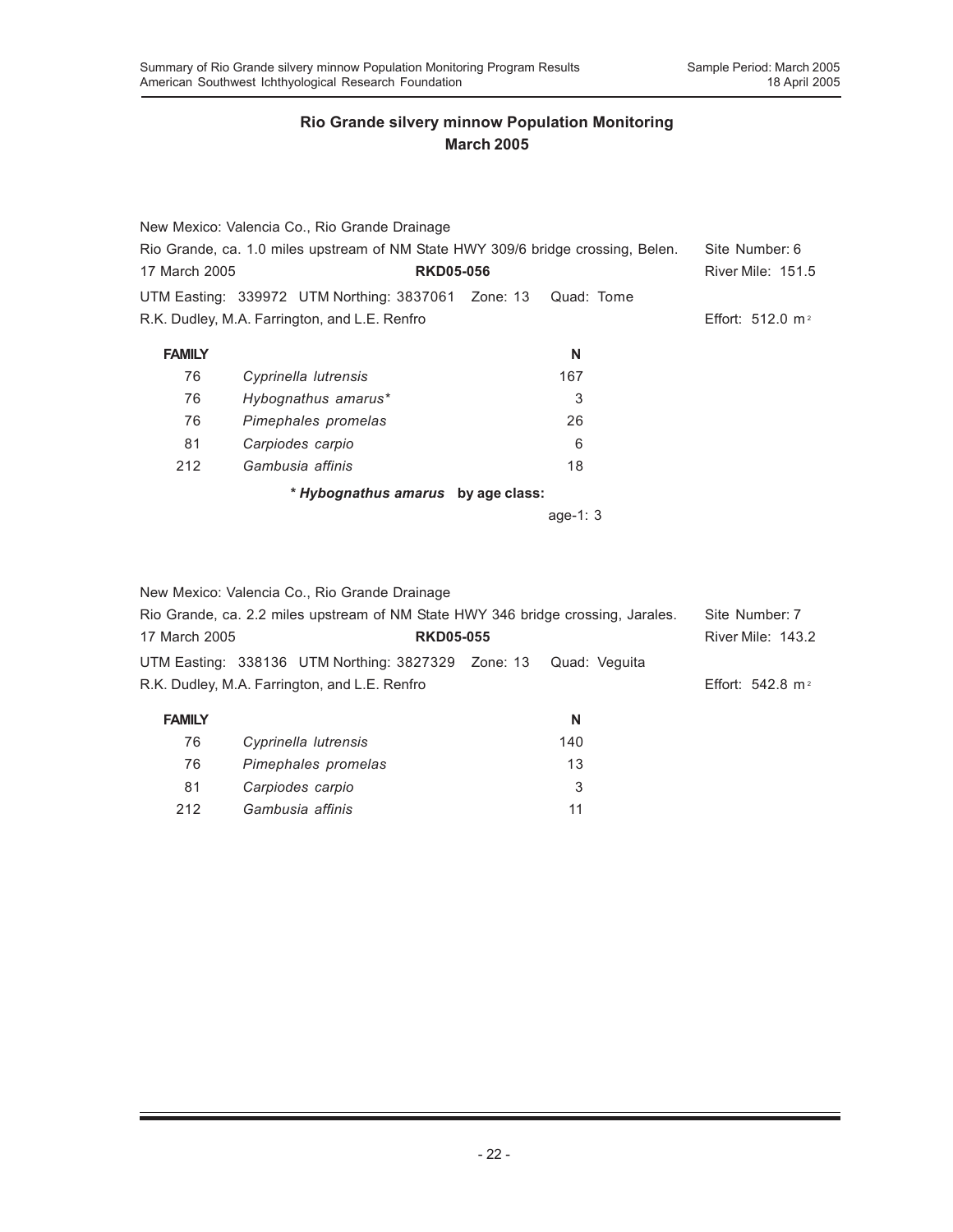|                                                                                  | New Mexico: Valencia Co., Rio Grande Drainage      |            |                              |
|----------------------------------------------------------------------------------|----------------------------------------------------|------------|------------------------------|
| Rio Grande, ca. 1.0 miles upstream of NM State HWY 309/6 bridge crossing, Belen. | Site Number: 6                                     |            |                              |
| 17 March 2005                                                                    | <b>RKD05-056</b>                                   |            | <b>River Mile: 151.5</b>     |
|                                                                                  | UTM Easting: 339972 UTM Northing: 3837061 Zone: 13 | Quad: Tome |                              |
|                                                                                  | R.K. Dudley, M.A. Farrington, and L.E. Renfro      |            | Effort: 512.0 m <sup>2</sup> |
| <b>FAMILY</b>                                                                    |                                                    | N          |                              |
| 76                                                                               | Cyprinella lutrensis                               | 167        |                              |
| 76                                                                               | Hybognathus amarus*                                | 3          |                              |
| 76                                                                               | Pimephales promelas                                | 26         |                              |
| 81                                                                               | Carpiodes carpio                                   | 6          |                              |
| 212                                                                              | Gambusia affinis                                   | 18         |                              |
|                                                                                  | * Hybognathus amarus by age class:                 |            |                              |
|                                                                                  |                                                    | age-1: $3$ |                              |
|                                                                                  |                                                    |            |                              |
|                                                                                  |                                                    |            |                              |

New Mexico: Valencia Co., Rio Grande Drainage

| Rio Grande, ca. 2.2 miles upstream of NM State HWY 346 bridge crossing, Jarales. | Site Number: 7                                                   |  |                             |  |
|----------------------------------------------------------------------------------|------------------------------------------------------------------|--|-----------------------------|--|
| 17 March 2005<br><b>RKD05-055</b>                                                |                                                                  |  | River Mile: 143.2           |  |
|                                                                                  | UTM Easting: 338136 UTM Northing: 3827329 Zone: 13 Quad: Veguita |  |                             |  |
| R.K. Dudley, M.A. Farrington, and L.E. Renfro                                    |                                                                  |  | Effort: $542.8 \text{ m}^2$ |  |
| <b>FAMILY</b>                                                                    |                                                                  |  | N                           |  |
| 76                                                                               | Cyprinella lutrensis                                             |  | 140                         |  |
| 76                                                                               | Pimephales promelas                                              |  | 13                          |  |

81 *Carpiodes carpio* 3 212 *Gambusia affinis* 11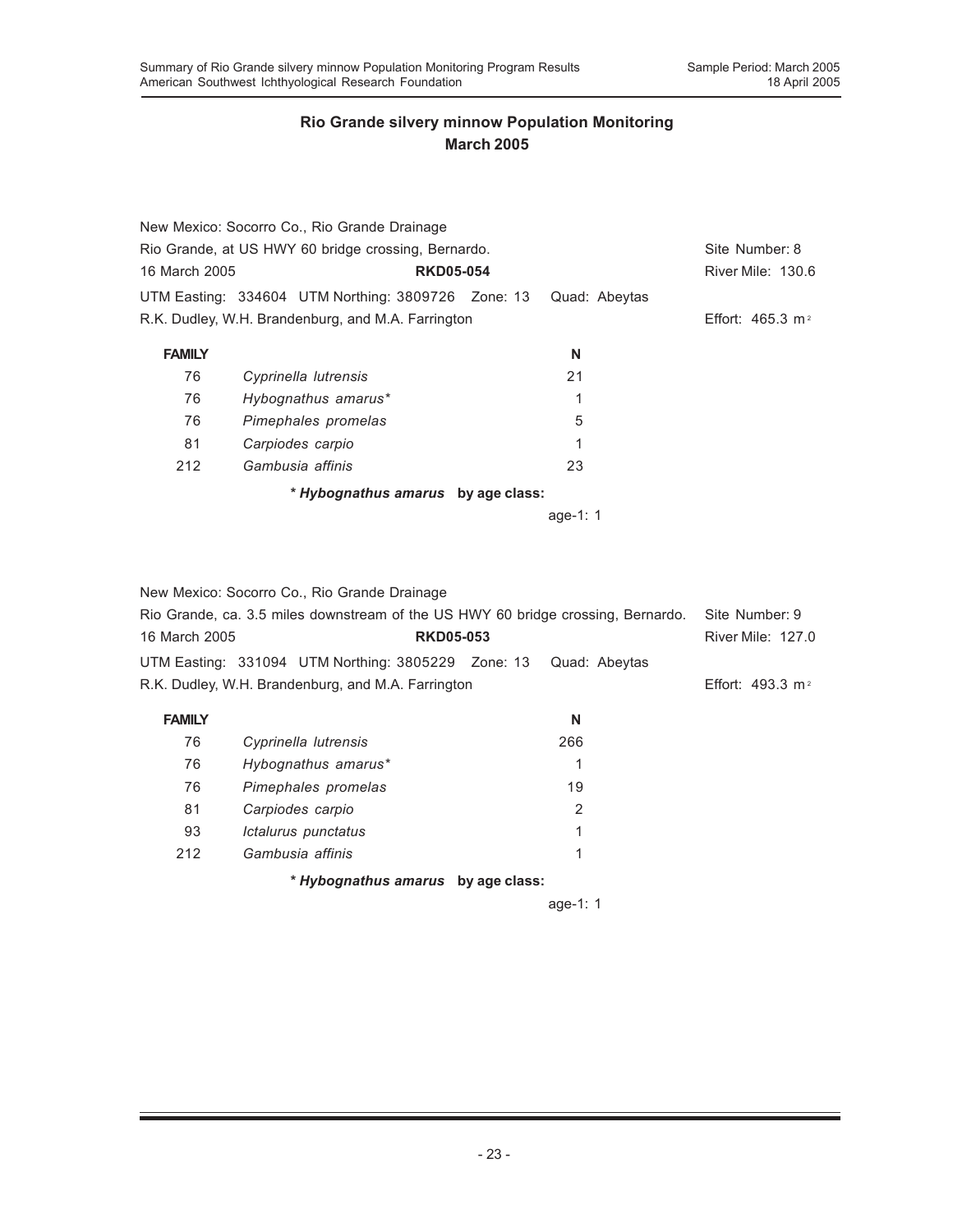|                                                     | New Mexico: Socorro Co., Rio Grande Drainage       |  |               |                             |
|-----------------------------------------------------|----------------------------------------------------|--|---------------|-----------------------------|
| Rio Grande, at US HWY 60 bridge crossing, Bernardo. |                                                    |  |               | Site Number: 8              |
| 16 March 2005                                       | <b>RKD05-054</b>                                   |  |               | River Mile: 130.6           |
|                                                     | UTM Easting: 334604 UTM Northing: 3809726 Zone: 13 |  | Quad: Abeytas |                             |
|                                                     | R.K. Dudley, W.H. Brandenburg, and M.A. Farrington |  |               | Effort: $465.3 \text{ m}^2$ |
| <b>FAMILY</b>                                       |                                                    |  | N             |                             |
| 76                                                  | Cyprinella lutrensis                               |  | 21            |                             |
| 76                                                  | Hybognathus amarus*                                |  | 1             |                             |
| 76                                                  | Pimephales promelas                                |  | 5             |                             |
| 81                                                  | Carpiodes carpio                                   |  | 1             |                             |
| 212                                                 | Gambusia affinis                                   |  | 23            |                             |
|                                                     | * Hybognathus amarus by age class:                 |  |               |                             |
|                                                     |                                                    |  | age-1: $1$    |                             |

New Mexico: Socorro Co., Rio Grande Drainage

| Rio Grande, ca. 3.5 miles downstream of the US HWY 60 bridge crossing, Bernardo. |                                                                  |  |   | Site Number: 9               |
|----------------------------------------------------------------------------------|------------------------------------------------------------------|--|---|------------------------------|
| 16 March 2005                                                                    | <b>RKD05-053</b>                                                 |  |   | River Mile: 127.0            |
|                                                                                  | UTM Easting: 331094 UTM Northing: 3805229 Zone: 13 Quad: Abeytas |  |   |                              |
|                                                                                  | R.K. Dudley, W.H. Brandenburg, and M.A. Farrington               |  |   | Effort: 493.3 m <sup>2</sup> |
| <b>FAMILY</b>                                                                    |                                                                  |  | N |                              |

| 76  | Cyprinella lutrensis | 266 |
|-----|----------------------|-----|
| 76  | Hybognathus amarus*  | 1   |
| 76  | Pimephales promelas  | 19  |
| 81  | Carpiodes carpio     | 2   |
| 93  | Ictalurus punctatus  | 1   |
| 212 | Gambusia affinis     |     |
|     |                      |     |

*\* Hybognathus amarus* **by age class:**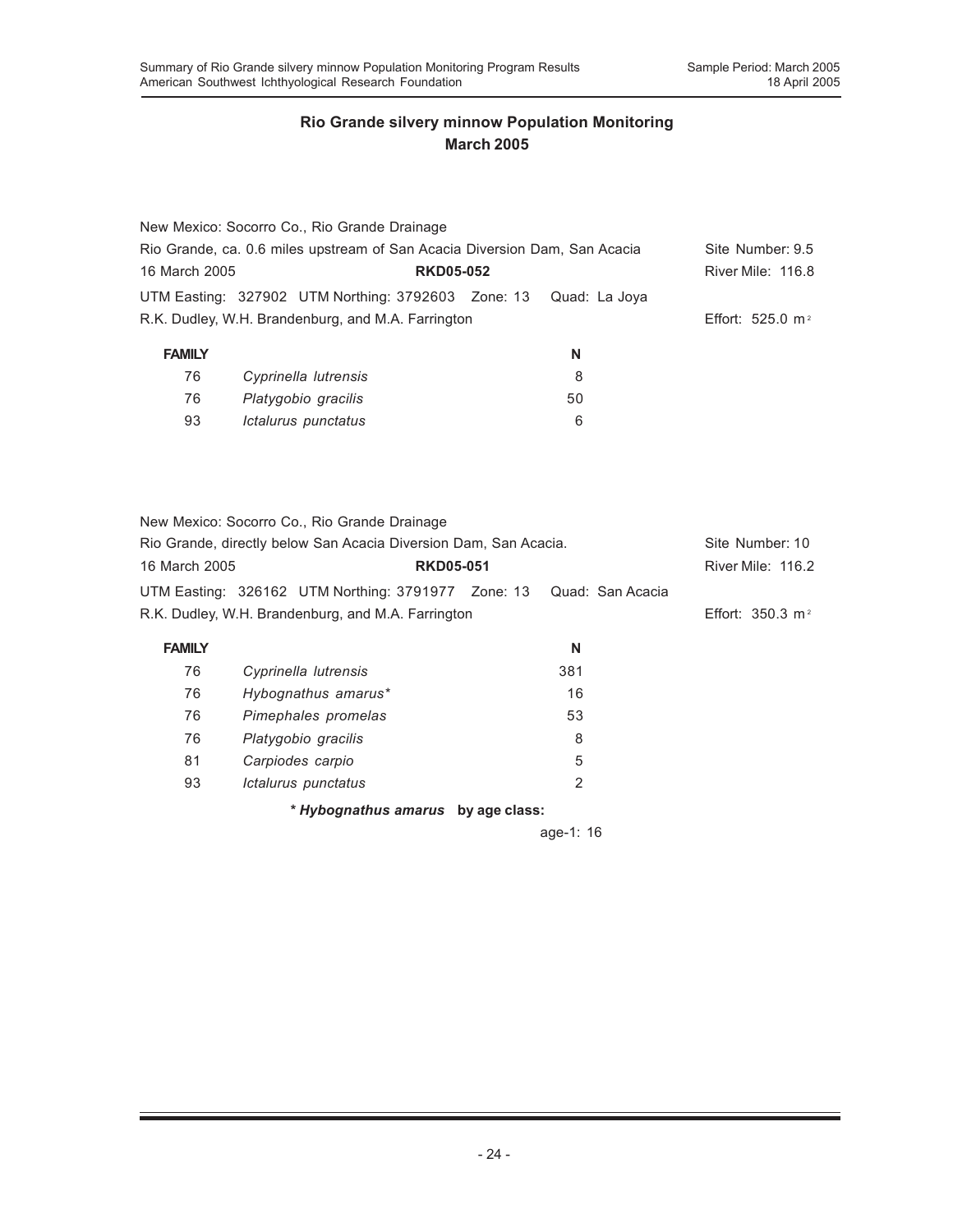|               | New Mexico: Socorro Co., Rio Grande Drainage                               |   |                              |
|---------------|----------------------------------------------------------------------------|---|------------------------------|
|               | Rio Grande, ca. 0.6 miles upstream of San Acacia Diversion Dam, San Acacia |   | Site Number: 9.5             |
| 16 March 2005 | <b>RKD05-052</b>                                                           |   | River Mile: 116.8            |
|               |                                                                            |   |                              |
|               | R.K. Dudley, W.H. Brandenburg, and M.A. Farrington                         |   | Effort: 525.0 m <sup>2</sup> |
| <b>FAMILY</b> |                                                                            | N |                              |
| 76            | Cyprinella lutrensis                                                       |   |                              |

| 76 | Cyprinella lutrensis |    |
|----|----------------------|----|
| 76 | Platygobio gracilis  | 50 |
| 93 | Ictalurus punctatus  |    |

|                                                                  | New Mexico: Socorro Co., Rio Grande Drainage                        |  |     |                             |
|------------------------------------------------------------------|---------------------------------------------------------------------|--|-----|-----------------------------|
| Rio Grande, directly below San Acacia Diversion Dam, San Acacia. |                                                                     |  |     | Site Number: 10             |
| 16 March 2005                                                    | <b>RKD05-051</b>                                                    |  |     | River Mile: 116.2           |
|                                                                  | UTM Easting: 326162 UTM Northing: 3791977 Zone: 13 Quad: San Acacia |  |     |                             |
|                                                                  | R.K. Dudley, W.H. Brandenburg, and M.A. Farrington                  |  |     | Effort: $350.3 \text{ m}^2$ |
| <b>FAMILY</b>                                                    |                                                                     |  | N   |                             |
| 76                                                               | Cyprinella lutrensis                                                |  | 381 |                             |
| 76                                                               | Hybognathus amarus*                                                 |  | 16  |                             |
| 76                                                               | Pimephales promelas                                                 |  | 53  |                             |
| 76                                                               | Platygobio gracilis                                                 |  | 8   |                             |
| 81                                                               | Carpiodes carpio                                                    |  | 5   |                             |
| 93                                                               | Ictalurus punctatus                                                 |  | 2   |                             |
|                                                                  |                                                                     |  |     |                             |

*\* Hybognathus amarus* **by age class:**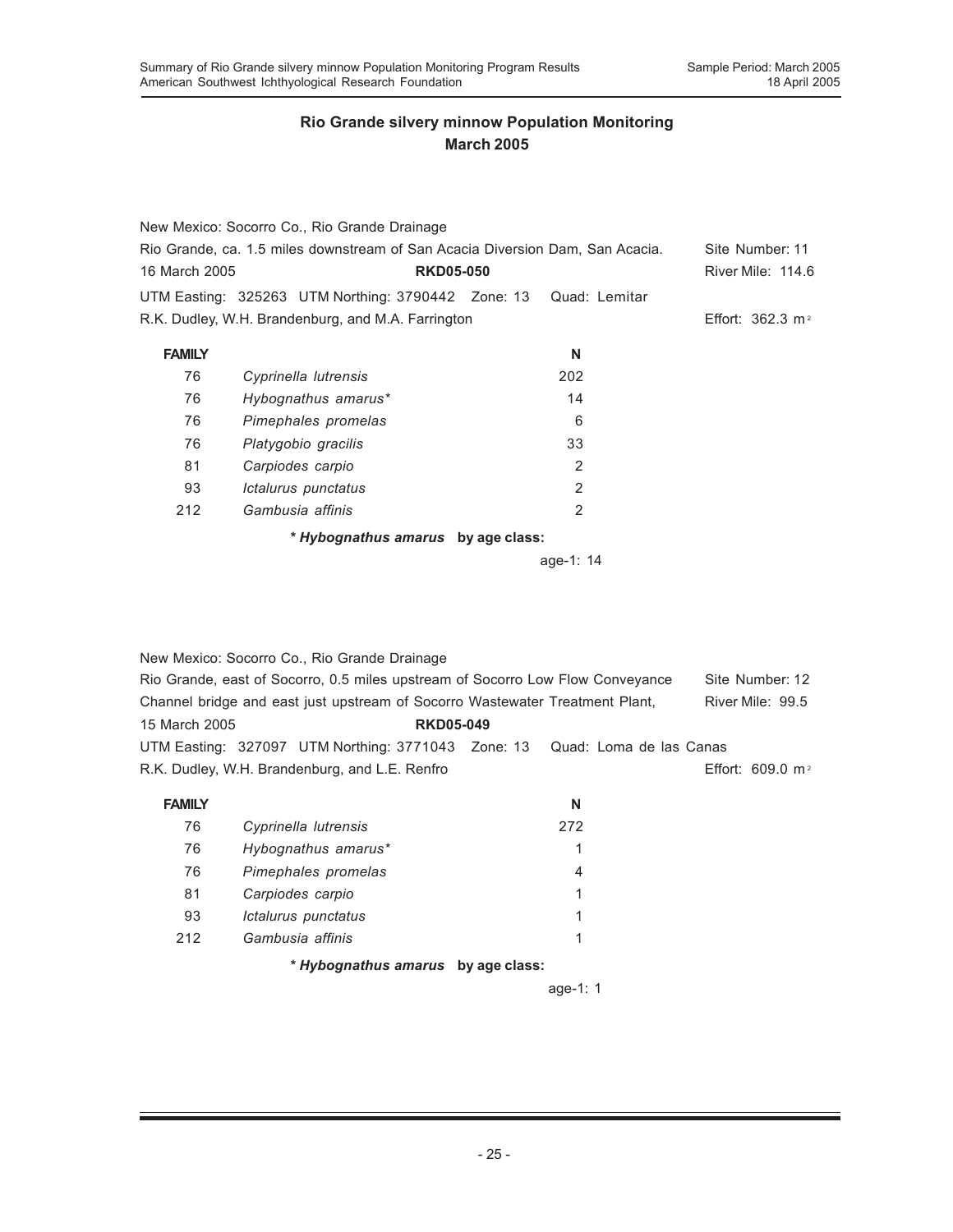|                                                                               | New Mexico: Socorro Co., Rio Grande Drainage       |  |                |                             |
|-------------------------------------------------------------------------------|----------------------------------------------------|--|----------------|-----------------------------|
| Rio Grande, ca. 1.5 miles downstream of San Acacia Diversion Dam, San Acacia. |                                                    |  |                | Site Number: 11             |
| 16 March 2005                                                                 | <b>RKD05-050</b>                                   |  |                | River Mile: 114.6           |
| UTM Easting: 325263 UTM Northing: 3790442 Zone: 13                            |                                                    |  |                |                             |
|                                                                               | R.K. Dudley, W.H. Brandenburg, and M.A. Farrington |  |                | Effort: $362.3 \text{ m}^2$ |
| <b>FAMILY</b>                                                                 |                                                    |  | N              |                             |
| 76                                                                            | Cyprinella lutrensis                               |  | 202            |                             |
| 76                                                                            | Hybognathus amarus*                                |  | 14             |                             |
| 76                                                                            | Pimephales promelas                                |  | 6              |                             |
| 76                                                                            | Platygobio gracilis                                |  | 33             |                             |
| 81                                                                            | Carpiodes carpio                                   |  | 2              |                             |
| 93                                                                            | Ictalurus punctatus                                |  | 2              |                             |
| 212                                                                           | Gambusia affinis                                   |  | $\overline{2}$ |                             |
|                                                                               | * Hybognathus amarus by age class:                 |  |                |                             |
|                                                                               |                                                    |  | age-1: $14$    |                             |

|                                                                                | New Mexico: Socorro Co., Rio Grande Drainage                               |  |                  |                             |
|--------------------------------------------------------------------------------|----------------------------------------------------------------------------|--|------------------|-----------------------------|
| Rio Grande, east of Socorro, 0.5 miles upstream of Socorro Low Flow Conveyance |                                                                            |  |                  | Site Number: 12             |
| Channel bridge and east just upstream of Socorro Wastewater Treatment Plant,   |                                                                            |  | River Mile: 99.5 |                             |
| 15 March 2005                                                                  | <b>RKD05-049</b>                                                           |  |                  |                             |
|                                                                                | UTM Easting: 327097 UTM Northing: 3771043 Zone: 13 Quad: Loma de las Canas |  |                  |                             |
|                                                                                | R.K. Dudley, W.H. Brandenburg, and L.E. Renfro                             |  |                  | Effort: $609.0 \text{ m}^2$ |

| <b>FAMILY</b> |                                    | N   |
|---------------|------------------------------------|-----|
| 76            | Cyprinella lutrensis               | 272 |
| 76            | Hybognathus amarus*                | 1   |
| 76            | Pimephales promelas                | 4   |
| 81            | Carpiodes carpio                   | 1   |
| 93            | Ictalurus punctatus                | 1   |
| 212           | Gambusia affinis                   | 1   |
|               | * Hybognathus amarus by age class: |     |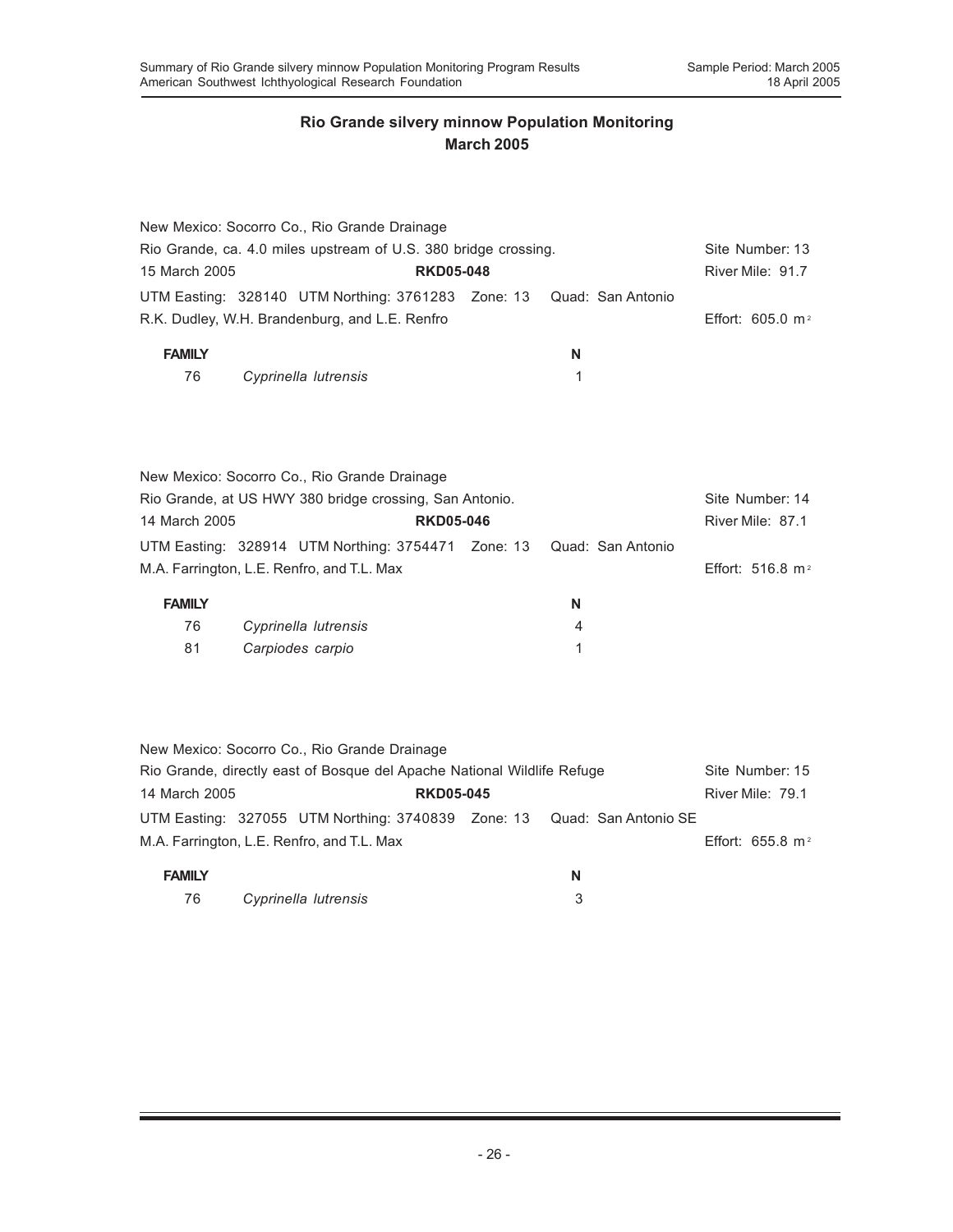|                                                                         |                                                | New Mexico: Socorro Co., Rio Grande Drainage            |  |                    |                   |                             |  |
|-------------------------------------------------------------------------|------------------------------------------------|---------------------------------------------------------|--|--------------------|-------------------|-----------------------------|--|
| Rio Grande, ca. 4.0 miles upstream of U.S. 380 bridge crossing.         | Site Number: 13                                |                                                         |  |                    |                   |                             |  |
| <b>RKD05-048</b><br>15 March 2005                                       |                                                |                                                         |  | River Mile: 91.7   |                   |                             |  |
| UTM Easting: 328140 UTM Northing: 3761283 Zone: 13<br>Quad: San Antonio |                                                |                                                         |  |                    |                   |                             |  |
|                                                                         | R.K. Dudley, W.H. Brandenburg, and L.E. Renfro |                                                         |  |                    |                   | Effort: $605.0 \text{ m}^2$ |  |
| <b>FAMILY</b>                                                           |                                                |                                                         |  | N                  |                   |                             |  |
| 76                                                                      |                                                | Cyprinella lutrensis                                    |  | 1                  |                   |                             |  |
|                                                                         |                                                |                                                         |  |                    |                   |                             |  |
| New Mexico: Socorro Co., Rio Grande Drainage                            |                                                |                                                         |  |                    |                   |                             |  |
|                                                                         |                                                | Rio Grande, at US HWY 380 bridge crossing, San Antonio. |  |                    |                   | Site Number: 14             |  |
| 14 March 2005<br><b>RKD05-046</b>                                       |                                                |                                                         |  |                    |                   | River Mile: 87.1            |  |
|                                                                         |                                                | UTM Easting: 328914 UTM Northing: 3754471 Zone: 13      |  |                    | Quad: San Antonio |                             |  |
| M.A. Farrington, L.E. Renfro, and T.L. Max                              |                                                |                                                         |  | Effort: 516.8 $m2$ |                   |                             |  |
| <b>FAMILY</b>                                                           |                                                |                                                         |  | N                  |                   |                             |  |
| 76                                                                      |                                                | Cyprinella lutrensis                                    |  | 4                  |                   |                             |  |
| 81                                                                      |                                                | Carpiodes carpio                                        |  | 1                  |                   |                             |  |
|                                                                         |                                                |                                                         |  |                    |                   |                             |  |
|                                                                         |                                                |                                                         |  |                    |                   |                             |  |
|                                                                         |                                                |                                                         |  |                    |                   |                             |  |

| New Mexico: Socorro Co., Rio Grande Drainage                            |                  |                                                                         |  |                  |                             |  |  |  |
|-------------------------------------------------------------------------|------------------|-------------------------------------------------------------------------|--|------------------|-----------------------------|--|--|--|
| Rio Grande, directly east of Bosque del Apache National Wildlife Refuge |                  |                                                                         |  |                  | Site Number: 15             |  |  |  |
| 14 March 2005                                                           | <b>RKD05-045</b> |                                                                         |  | River Mile: 79.1 |                             |  |  |  |
|                                                                         |                  | UTM Easting: 327055 UTM Northing: 3740839 Zone: 13 Quad: San Antonio SE |  |                  |                             |  |  |  |
| M.A. Farrington, L.E. Renfro, and T.L. Max                              |                  |                                                                         |  |                  | Effort: $655.8 \text{ m}^2$ |  |  |  |
| <b>FAMILY</b>                                                           |                  |                                                                         |  |                  | N                           |  |  |  |

76 *Cyprinella lutrensis* 3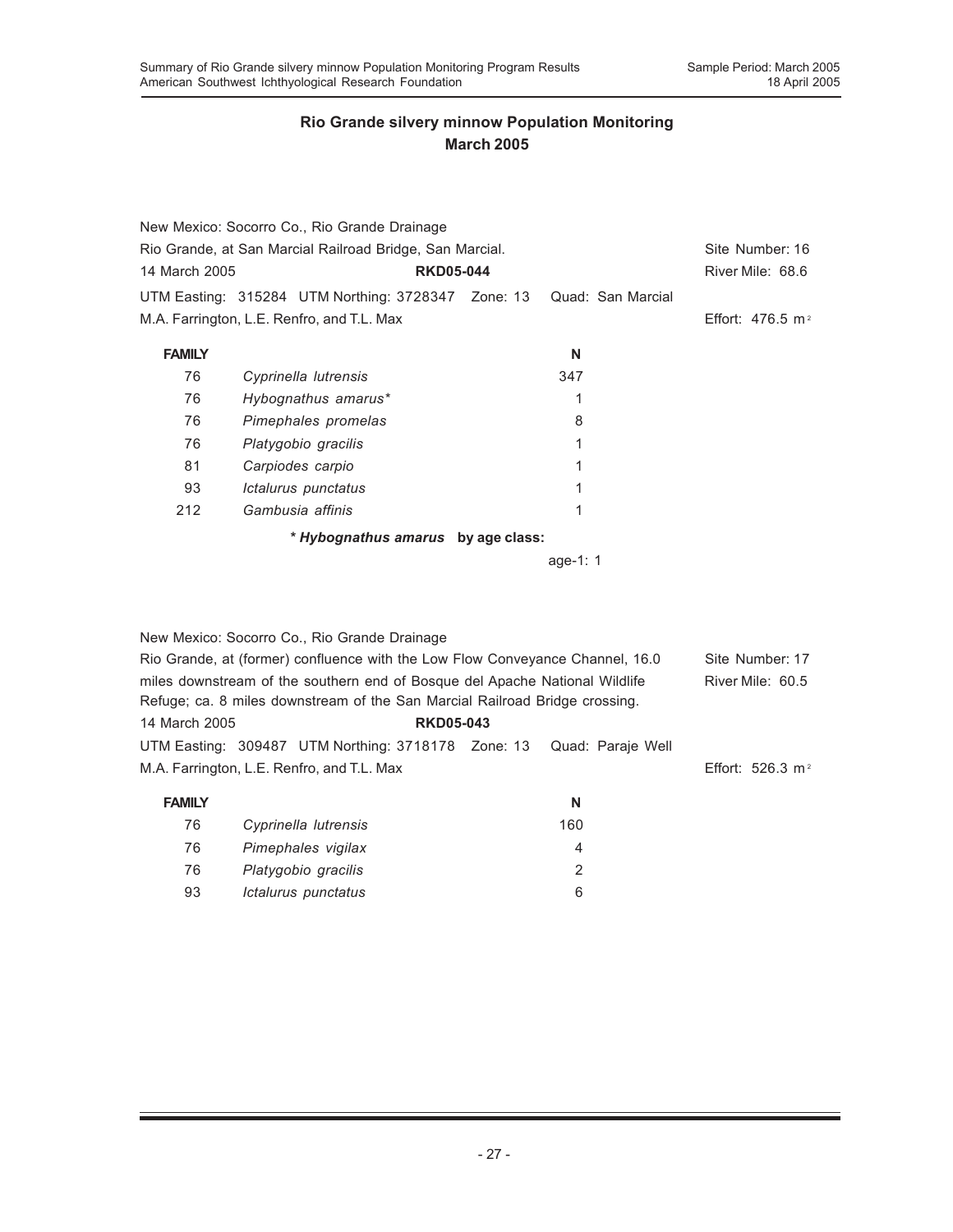|                                                                             | New Mexico: Socorro Co., Rio Grande Drainage                                  |                   |                              |  |  |  |  |
|-----------------------------------------------------------------------------|-------------------------------------------------------------------------------|-------------------|------------------------------|--|--|--|--|
| Rio Grande, at San Marcial Railroad Bridge, San Marcial.                    |                                                                               | Site Number: 16   |                              |  |  |  |  |
| 14 March 2005                                                               | <b>RKD05-044</b>                                                              |                   |                              |  |  |  |  |
|                                                                             | UTM Easting: 315284 UTM Northing: 3728347 Zone: 13                            | Quad: San Marcial |                              |  |  |  |  |
|                                                                             | M.A. Farrington, L.E. Renfro, and T.L. Max                                    |                   | Effort: 476.5 m <sup>2</sup> |  |  |  |  |
| <b>FAMILY</b>                                                               |                                                                               | N                 |                              |  |  |  |  |
| 76                                                                          | Cyprinella lutrensis                                                          | 347               |                              |  |  |  |  |
| 76                                                                          | Hybognathus amarus*                                                           | 1                 |                              |  |  |  |  |
| 76                                                                          | Pimephales promelas                                                           | 8                 |                              |  |  |  |  |
| 76                                                                          | Platygobio gracilis                                                           | 1                 |                              |  |  |  |  |
| 81                                                                          | Carpiodes carpio                                                              | 1                 |                              |  |  |  |  |
| 93                                                                          | Ictalurus punctatus                                                           | 1                 |                              |  |  |  |  |
| 212                                                                         | Gambusia affinis                                                              | 1                 |                              |  |  |  |  |
|                                                                             | * Hybognathus amarus by age class:                                            |                   |                              |  |  |  |  |
| age-1: 1                                                                    |                                                                               |                   |                              |  |  |  |  |
|                                                                             |                                                                               |                   |                              |  |  |  |  |
|                                                                             |                                                                               |                   |                              |  |  |  |  |
|                                                                             | New Mexico: Socorro Co., Rio Grande Drainage                                  |                   |                              |  |  |  |  |
|                                                                             | Rio Grande, at (former) confluence with the Low Flow Conveyance Channel, 16.0 |                   | Site Number: 17              |  |  |  |  |
|                                                                             | miles downstream of the southern end of Bosque del Apache National Wildlife   | River Mile: 60.5  |                              |  |  |  |  |
| Refuge; ca. 8 miles downstream of the San Marcial Railroad Bridge crossing. |                                                                               |                   |                              |  |  |  |  |
| 14 March 2005                                                               | <b>RKD05-043</b>                                                              |                   |                              |  |  |  |  |
|                                                                             | UTM Easting: 309487 UTM Northing: 3718178 Zone: 13                            | Quad: Paraje Well |                              |  |  |  |  |
|                                                                             | M.A. Farrington, L.E. Renfro, and T.L. Max                                    |                   | Effort: 526.3 m <sup>2</sup> |  |  |  |  |
| <b>FAMILY</b>                                                               |                                                                               | N                 |                              |  |  |  |  |
| 76                                                                          | Cyprinella lutrensis                                                          | 160               |                              |  |  |  |  |
| 76                                                                          | Pimephales vigilax                                                            | 4                 |                              |  |  |  |  |
| 76                                                                          | Platygobio gracilis                                                           | $\overline{2}$    |                              |  |  |  |  |

93 *Ictalurus punctatus* 6